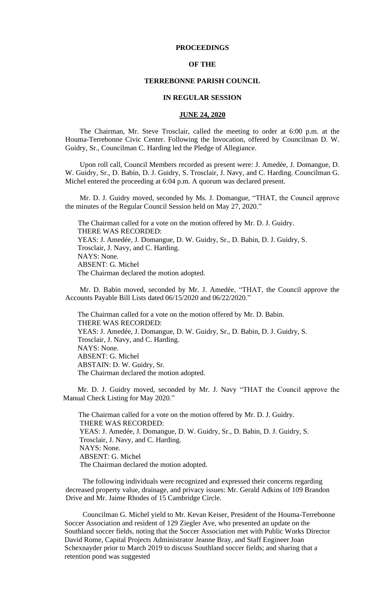## **PROCEEDINGS**

# **OF THE**

#### **TERREBONNE PARISH COUNCIL**

#### **IN REGULAR SESSION**

#### **JUNE 24, 2020**

 The Chairman, Mr. Steve Trosclair, called the meeting to order at 6:00 p.m. at the Houma-Terrebonne Civic Center. Following the Invocation, offered by Councilman D. W. Guidry, Sr., Councilman C. Harding led the Pledge of Allegiance.

 Upon roll call, Council Members recorded as present were: J. Amedée, J. Domangue, D. W. Guidry, Sr., D. Babin, D. J. Guidry, S. Trosclair, J. Navy, and C. Harding. Councilman G. Michel entered the proceeding at 6:04 p.m. A quorum was declared present.

 Mr. D. J. Guidry moved, seconded by Ms. J. Domangue, "THAT, the Council approve the minutes of the Regular Council Session held on May 27, 2020."

 The Chairman called for a vote on the motion offered by Mr. D. J. Guidry. THERE WAS RECORDED: YEAS: J. Amedée, J. Domangue, D. W. Guidry, Sr., D. Babin, D. J. Guidry, S. Trosclair, J. Navy, and C. Harding. NAYS: None. ABSENT: G. Michel The Chairman declared the motion adopted.

 Mr. D. Babin moved, seconded by Mr. J. Amedée, "THAT, the Council approve the Accounts Payable Bill Lists dated 06/15/2020 and 06/22/2020."

 The Chairman called for a vote on the motion offered by Mr. D. Babin. THERE WAS RECORDED: YEAS: J. Amedée, J. Domangue, D. W. Guidry, Sr., D. Babin, D. J. Guidry, S. Trosclair, J. Navy, and C. Harding. NAYS: None. ABSENT: G. Michel ABSTAIN: D. W. Guidry, Sr. The Chairman declared the motion adopted.

 Mr. D. J. Guidry moved, seconded by Mr. J. Navy "THAT the Council approve the Manual Check Listing for May 2020."

The Chairman called for a vote on the motion offered by Mr. D. J. Guidry. THERE WAS RECORDED: YEAS: J. Amedée, J. Domangue, D. W. Guidry, Sr., D. Babin, D. J. Guidry, S. Trosclair, J. Navy, and C. Harding. NAYS: None. ABSENT: G. Michel The Chairman declared the motion adopted.

The following individuals were recognized and expressed their concerns regarding decreased property value, drainage, and privacy issues: Mr. Gerald Adkins of 109 Brandon Drive and Mr. Jaime Rhodes of 15 Cambridge Circle.

Councilman G. Michel yield to Mr. Kevan Keiser, President of the Houma-Terrebonne Soccer Association and resident of 129 Ziegler Ave, who presented an update on the Southland soccer fields, noting that the Soccer Association met with Public Works Director David Rome, Capital Projects Administrator Jeanne Bray, and Staff Engineer Joan Schexnayder prior to March 2019 to discuss Southland soccer fields; and sharing that a retention pond was suggested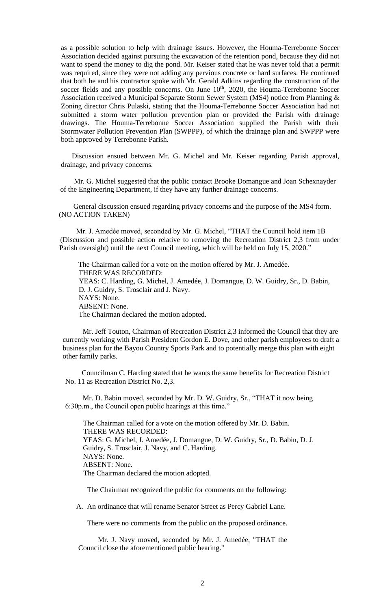as a possible solution to help with drainage issues. However, the Houma-Terrebonne Soccer Association decided against pursuing the excavation of the retention pond, because they did not want to spend the money to dig the pond. Mr. Keiser stated that he was never told that a permit was required, since they were not adding any pervious concrete or hard surfaces. He continued that both he and his contractor spoke with Mr. Gerald Adkins regarding the construction of the soccer fields and any possible concerns. On June 10<sup>th</sup>, 2020, the Houma-Terrebonne Soccer Association received a Municipal Separate Storm Sewer System (MS4) notice from Planning & Zoning director Chris Pulaski, stating that the Houma-Terrebonne Soccer Association had not submitted a storm water pollution prevention plan or provided the Parish with drainage drawings. The Houma-Terrebonne Soccer Association supplied the Parish with their Stormwater Pollution Prevention Plan (SWPPP), of which the drainage plan and SWPPP were both approved by Terrebonne Parish.

Discussion ensued between Mr. G. Michel and Mr. Keiser regarding Parish approval, drainage, and privacy concerns.

Mr. G. Michel suggested that the public contact Brooke Domangue and Joan Schexnayder of the Engineering Department, if they have any further drainage concerns.

General discussion ensued regarding privacy concerns and the purpose of the MS4 form. (NO ACTION TAKEN)

Mr. J. Amedée moved, seconded by Mr. G. Michel, "THAT the Council hold item 1B (Discussion and possible action relative to removing the Recreation District 2,3 from under Parish oversight) until the next Council meeting, which will be held on July 15, 2020."

The Chairman called for a vote on the motion offered by Mr. J. Amedée. THERE WAS RECORDED: YEAS: C. Harding, G. Michel, J. Amedée, J. Domangue, D. W. Guidry, Sr., D. Babin, D. J. Guidry, S. Trosclair and J. Navy. NAYS: None. ABSENT: None. The Chairman declared the motion adopted.

 Mr. Jeff Touton, Chairman of Recreation District 2,3 informed the Council that they are currently working with Parish President Gordon E. Dove, and other parish employees to draft a business plan for the Bayou Country Sports Park and to potentially merge this plan with eight other family parks.

Councilman C. Harding stated that he wants the same benefits for Recreation District No. 11 as Recreation District No. 2,3.

Mr. D. Babin moved, seconded by Mr. D. W. Guidry, Sr., "THAT it now being 6:30p.m., the Council open public hearings at this time."

 The Chairman called for a vote on the motion offered by Mr. D. Babin. THERE WAS RECORDED: YEAS: G. Michel, J. Amedée, J. Domangue, D. W. Guidry, Sr., D. Babin, D. J. Guidry, S. Trosclair, J. Navy, and C. Harding. NAYS: None. ABSENT: None. The Chairman declared the motion adopted.

The Chairman recognized the public for comments on the following:

A. [An ordinance that will rename Senator Street as Percy Gabriel Lane.](https://terrebonneparish.novusagenda.com/AgendaWeb/CoverSheet.aspx?ItemID=26324&MeetingID=2033)

There were no comments from the public on the proposed ordinance.

Mr. J. Navy moved, seconded by Mr. J. Amedée, "THAT the Council close the aforementioned public hearing."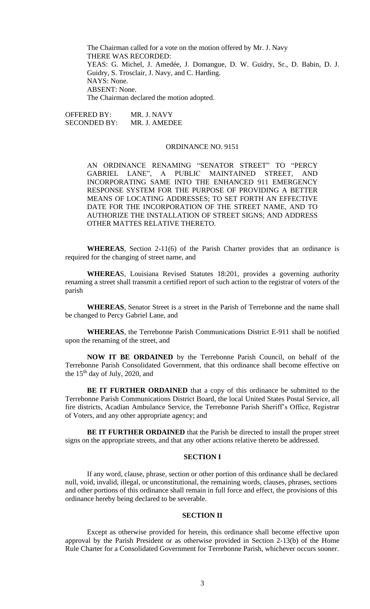The Chairman called for a vote on the motion offered by Mr. J. Navy THERE WAS RECORDED: YEAS: G. Michel, J. Amedée, J. Domangue, D. W. Guidry, Sr., D. Babin, D. J. Guidry, S. Trosclair, J. Navy, and C. Harding. NAYS: None. ABSENT: None. The Chairman declared the motion adopted.

OFFERED BY: MR. J. NAVY SECONDED BY: MR. J. AMEDEE

# ORDINANCE NO. 9151

AN ORDINANCE RENAMING "SENATOR STREET" TO "PERCY GABRIEL LANE", A PUBLIC MAINTAINED STREET, AND INCORPORATING SAME INTO THE ENHANCED 911 EMERGENCY RESPONSE SYSTEM FOR THE PURPOSE OF PROVIDING A BETTER MEANS OF LOCATING ADDRESSES; TO SET FORTH AN EFFECTIVE DATE FOR THE INCORPORATION OF THE STREET NAME, AND TO AUTHORIZE THE INSTALLATION OF STREET SIGNS; AND ADDRESS OTHER MATTES RELATIVE THERETO.

**WHEREAS**, Section 2-11(6) of the Parish Charter provides that an ordinance is required for the changing of street name, and

**WHEREA**S, Louisiana Revised Statutes 18:201, provides a governing authority renaming a street shall transmit a certified report of such action to the registrar of voters of the parish

**WHEREAS**, Senator Street is a street in the Parish of Terrebonne and the name shall be changed to Percy Gabriel Lane, and

**WHEREAS**, the Terrebonne Parish Communications District E-911 shall be notified upon the renaming of the street, and

**NOW IT BE ORDAINED** by the Terrebonne Parish Council, on behalf of the Terrebonne Parish Consolidated Government, that this ordinance shall become effective on the 15<sup>th</sup> day of July, 2020, and

**BE IT FURTHER ORDAINED** that a copy of this ordinance be submitted to the Terrebonne Parish Communications District Board, the local United States Postal Service, all fire districts, Acadian Ambulance Service, the Terrebonne Parish Sheriff's Office, Registrar of Voters, and any other appropriate agency; and

**BE IT FURTHER ORDAINED** that the Parish be directed to install the proper street signs on the appropriate streets, and that any other actions relative thereto be addressed.

# **SECTION I**

If any word, clause, phrase, section or other portion of this ordinance shall be declared null, void, invalid, illegal, or unconstitutional, the remaining words, clauses, phrases, sections and other portions of this ordinance shall remain in full force and effect, the provisions of this ordinance hereby being declared to be severable.

#### **SECTION II**

Except as otherwise provided for herein, this ordinance shall become effective upon approval by the Parish President or as otherwise provided in Section 2-13(b) of the Home Rule Charter for a Consolidated Government for Terrebonne Parish, whichever occurs sooner.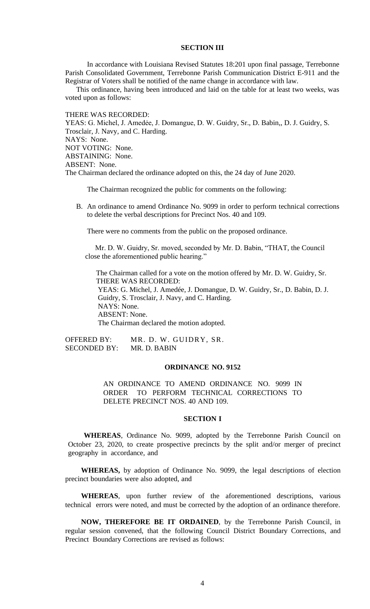### **SECTION III**

In accordance with Louisiana Revised Statutes 18:201 upon final passage, Terrebonne Parish Consolidated Government, Terrebonne Parish Communication District E-911 and the Registrar of Voters shall be notified of the name change in accordance with law.

This ordinance, having been introduced and laid on the table for at least two weeks, was voted upon as follows:

THERE WAS RECORDED:

YEAS: G. Michel, J. Amedėe, J. Domangue, D. W. Guidry, Sr., D. Babin,, D. J. Guidry, S. Trosclair, J. Navy, and C. Harding. NAYS: None. NOT VOTING: None. ABSTAINING: None. ABSENT: None. The Chairman declared the ordinance adopted on this, the 24 day of June 2020.

The Chairman recognized the public for comments on the following:

B. [An ordinance to amend Ordinance No. 9099 in order to perform](https://terrebonneparish.novusagenda.com/AgendaWeb/CoverSheet.aspx?ItemID=26326&MeetingID=2033) technical corrections [to delete the verbal descriptions for Precinct Nos. 40 and 109.](https://terrebonneparish.novusagenda.com/AgendaWeb/CoverSheet.aspx?ItemID=26326&MeetingID=2033)

There were no comments from the public on the proposed ordinance.

Mr. D. W. Guidry, Sr. moved, seconded by Mr. D. Babin, "THAT, the Council close the aforementioned public hearing."

 The Chairman called for a vote on the motion offered by Mr. D. W. Guidry, Sr. THERE WAS RECORDED: YEAS: G. Michel, J. Amedée, J. Domangue, D. W. Guidry, Sr., D. Babin, D. J. Guidry, S. Trosclair, J. Navy, and C. Harding. NAYS: None. ABSENT: None. The Chairman declared the motion adopted.

OFFERED BY: MR. D. W. GUIDRY, SR. SECONDED BY: MR. D. BABIN

#### **ORDINANCE NO. 9152**

AN ORDINANCE TO AMEND ORDINANCE NO. 9099 IN ORDER TO PERFORM TECHNICAL CORRECTIONS TO DELETE PRECINCT NOS. 40 AND 109.

#### **SECTION I**

**WHEREAS**, Ordinance No. 9099, adopted by the Terrebonne Parish Council on October 23, 2020, to create prospective precincts by the split and/or merger of precinct geography in accordance, and

**WHEREAS,** by adoption of Ordinance No. 9099, the legal descriptions of election precinct boundaries were also adopted, and

**WHEREAS**, upon further review of the aforementioned descriptions, various technical errors were noted, and must be corrected by the adoption of an ordinance therefore.

**NOW, THEREFORE BE IT ORDAINED**, by the Terrebonne Parish Council, in regular session convened, that the following Council District Boundary Corrections, and Precinct Boundary Corrections are revised as follows: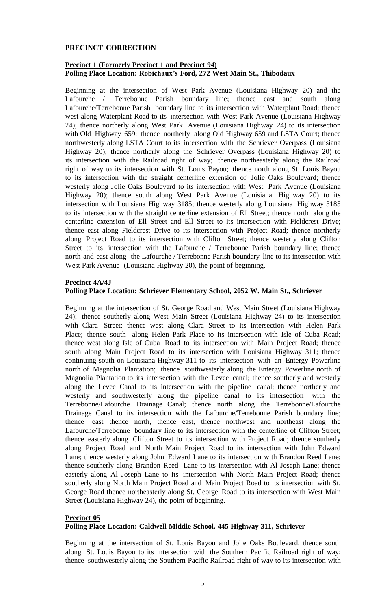# **PRECINCT CORRECTION**

# **Precinct 1 (Formerly Precinct 1 and Precinct 94) Polling Place Location: Robichaux's Ford, 272 West Main St., Thibodaux**

Beginning at the intersection of West Park Avenue (Louisiana Highway 20) and the Lafourche / Terrebonne Parish boundary line; thence east and south along Lafourche/Terrebonne Parish boundary line to its intersection with Waterplant Road; thence west along Waterplant Road to its intersection with West Park Avenue (Louisiana Highway 24); thence northerly along West Park Avenue (Louisiana Highway 24) to its intersection with Old Highway 659; thence northerly along Old Highway 659 and LSTA Court; thence northwesterly along LSTA Court to its intersection with the Schriever Overpass (Louisiana Highway 20); thence northerly along the Schriever Overpass (Louisiana Highway 20) to its intersection with the Railroad right of way; thence northeasterly along the Railroad right of way to its intersection with St. Louis Bayou; thence north along St. Louis Bayou to its intersection with the straight centerline extension of Jolie Oaks Boulevard; thence westerly along Jolie Oaks Boulevard to its intersection with West Park Avenue (Louisiana Highway 20); thence south along West Park Avenue (Louisiana Highway 20) to its intersection with Louisiana Highway 3185; thence westerly along Louisiana Highway 3185 to its intersection with the straight centerline extension of Ell Street; thence north along the centerline extension of Ell Street and Ell Street to its intersection with Fieldcrest Drive; thence east along Fieldcrest Drive to its intersection with Project Road; thence northerly along Project Road to its intersection with Clifton Street; thence westerly along Clifton Street to its intersection with the Lafourche / Terrebonne Parish boundary line; thence north and east along the Lafourche / Terrebonne Parish boundary line to its intersection with West Park Avenue (Louisiana Highway 20), the point of beginning.

# **Precinct 4A/4J**

# **Polling Place Location: Schriever Elementary School, 2052 W. Main St., Schriever**

Beginning at the intersection of St. George Road and West Main Street (Louisiana Highway 24); thence southerly along West Main Street (Louisiana Highway 24) to its intersection with Clara Street; thence west along Clara Street to its intersection with Helen Park Place; thence south along Helen Park Place to its intersection with Isle of Cuba Road; thence west along Isle of Cuba Road to its intersection with Main Project Road; thence south along Main Project Road to its intersection with Louisiana Highway 311; thence continuing south on Louisiana Highway 311 to its intersection with an Entergy Powerline north of Magnolia Plantation; thence southwesterly along the Entergy Powerline north of Magnolia Plantation to its intersection with the Levee canal; thence southerly and westerly along the Levee Canal to its intersection with the pipeline canal; thence northerly and westerly and southwesterly along the pipeline canal to its intersection with the Terrebonne/Lafourche Drainage Canal; thence north along the Terrebonne/Lafourche Drainage Canal to its intersection with the Lafourche/Terrebonne Parish boundary line; thence east thence north, thence east, thence northwest and northeast along the Lafourche/Terrebonne boundary line to its intersection with the centerline of Clifton Street; thence easterly along Clifton Street to its intersection with Project Road; thence southerly along Project Road and North Main Project Road to its intersection with John Edward Lane; thence westerly along John Edward Lane to its intersection with Brandon Reed Lane; thence southerly along Brandon Reed Lane to its intersection with Al Joseph Lane; thence easterly along Al Joseph Lane to its intersection with North Main Project Road; thence southerly along North Main Project Road and Main Project Road to its intersection with St. George Road thence northeasterly along St. George Road to its intersection with West Main Street (Louisiana Highway 24), the point of beginning.

# **Precinct 05 Polling Place Location: Caldwell Middle School, 445 Highway 311, Schriever**

Beginning at the intersection of St. Louis Bayou and Jolie Oaks Boulevard, thence south along St. Louis Bayou to its intersection with the Southern Pacific Railroad right of way; thence southwesterly along the Southern Pacific Railroad right of way to its intersection with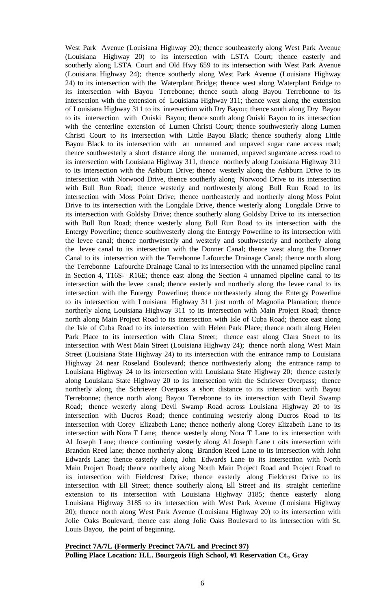West Park Avenue (Louisiana Highway 20); thence southeasterly along West Park Avenue (Louisiana Highway 20) to its intersection with LSTA Court; thence easterly and southerly along LSTA Court and Old Hwy 659 to its intersection with West Park Avenue (Louisiana Highway 24); thence southerly along West Park Avenue (Louisiana Highway 24) to its intersection with the Waterplant Bridge; thence west along Waterplant Bridge to its intersection with Bayou Terrebonne; thence south along Bayou Terrebonne to its intersection with the extension of Louisiana Highway 311; thence west along the extension of Louisiana Highway 311 to its intersection with Dry Bayou; thence south along Dry Bayou to its intersection with Ouiski Bayou; thence south along Ouiski Bayou to its intersection with the centerline extension of Lumen Christi Court; thence southwesterly along Lumen Christi Court to its intersection with Little Bayou Black; thence southerly along Little Bayou Black to its intersection with an unnamed and unpaved sugar cane access road; thence southwesterly a short distance along the unnamed, unpaved sugarcane access road to its intersection with Louisiana Highway 311, thence northerly along Louisiana Highway 311 to its intersection with the Ashburn Drive; thence westerly along the Ashburn Drive to its intersection with Norwood Drive, thence southerly along Norwood Drive to its intersection with Bull Run Road; thence westerly and northwesterly along Bull Run Road to its intersection with Moss Point Drive; thence northeasterly and northerly along Moss Point Drive to its intersection with the Longdale Drive, thence westerly along Longdale Drive to its intersection with Goldsby Drive; thence southerly along Goldsby Drive to its intersection with Bull Run Road; thence westerly along Bull Run Road to its intersection with the Entergy Powerline; thence southwesterly along the Entergy Powerline to its intersection with the levee canal; thence northwesterly and westerly and southwesterly and northerly along the levee canal to its intersection with the Donner Canal; thence west along the Donner Canal to its intersection with the Terrebonne Lafourche Drainage Canal; thence north along the Terrebonne Lafourche Drainage Canal to its intersection with the unnamed pipeline canal in Section 4, T16S- R16E; thence east along the Section 4 unnamed pipeline canal to its intersection with the levee canal; thence easterly and northerly along the levee canal to its intersection with the Entergy Powerline; thence northeasterly along the Entergy Powerline to its intersection with Louisiana Highway 311 just north of Magnolia Plantation; thence northerly along Louisiana Highway 311 to its intersection with Main Project Road; thence north along Main Project Road to its intersection with Isle of Cuba Road; thence east along the Isle of Cuba Road to its intersection with Helen Park Place; thence north along Helen Park Place to its intersection with Clara Street; thence east along Clara Street to its intersection with West Main Street (Louisiana Highway 24); thence north along West Main Street (Louisiana State Highway 24) to its intersection with the entrance ramp to Louisiana Highway 24 near Roseland Boulevard; thence northwesterly along the entrance ramp to Louisiana Highway 24 to its intersection with Louisiana State Highway 20; thence easterly along Louisiana State Highway 20 to its intersection with the Schriever Overpass; thence northerly along the Schriever Overpass a short distance to its intersection with Bayou Terrebonne; thence north along Bayou Terrebonne to its intersection with Devil Swamp Road; thence westerly along Devil Swamp Road across Louisiana Highway 20 to its intersection with Ducros Road; thence continuing westerly along Ducros Road to its intersection with Corey Elizabeth Lane; thence notherly along Corey Elizabeth Lane to its intersection with Nora T Lane; thence westerly along Nora T Lane to its intersection with Al Joseph Lane; thence continuing westerly along Al Joseph Lane t oits intersection with Brandon Reed lane; thence northerly along Brandon Reed Lane to its intersection with John Edwards Lane; thence easterly along John Edwards Lane to its intersection with North Main Project Road; thence northerly along North Main Project Road and Project Road to its intersection with Fieldcrest Drive; thence easterly along Fieldcrest Drive to its intersection with Ell Street; thence southerly along Ell Street and its straight centerline extension to its intersection with Louisiana Highway 3185; thence easterly along Louisiana Highway 3185 to its intersection with West Park Avenue (Louisiana Highway 20); thence north along West Park Avenue (Louisiana Highway 20) to its intersection with Jolie Oaks Boulevard, thence east along Jolie Oaks Boulevard to its intersection with St. Louis Bayou, the point of beginning.

**Precinct 7A/7L (Formerly Precinct 7A/7L and Precinct 97) Polling Place Location: H.L. Bourgeois High School, #1 Reservation Ct., Gray**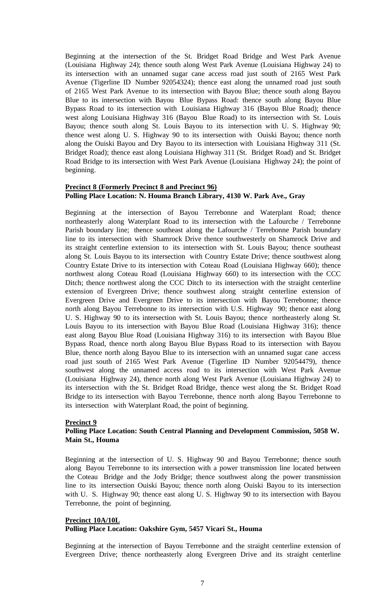Beginning at the intersection of the St. Bridget Road Bridge and West Park Avenue (Louisiana Highway 24); thence south along West Park Avenue (Louisiana Highway 24) to its intersection with an unnamed sugar cane access road just south of 2165 West Park Avenue (Tigerline ID Number 92054324); thence east along the unnamed road just south of 2165 West Park Avenue to its intersection with Bayou Blue; thence south along Bayou Blue to its intersection with Bayou Blue Bypass Road: thence south along Bayou Blue Bypass Road to its intersection with Louisiana Highway 316 (Bayou Blue Road); thence west along Louisiana Highway 316 (Bayou Blue Road) to its intersection with St. Louis Bayou; thence south along St. Louis Bayou to its intersection with U. S. Highway 90; thence west along U. S. Highway 90 to its intersection with Ouiski Bayou; thence north along the Ouiski Bayou and Dry Bayou to its intersection with Louisiana Highway 311 (St. Bridget Road); thence east along Louisiana Highway 311 (St. Bridget Road) and St. Bridget Road Bridge to its intersection with West Park Avenue (Louisiana Highway 24); the point of beginning.

# **Precinct 8 (Formerly Precinct 8 and Precinct 96) Polling Place Location: N. Houma Branch Library, 4130 W. Park Ave., Gray**

Beginning at the intersection of Bayou Terrebonne and Waterplant Road; thence northeasterly along Waterplant Road to its intersection with the Lafourche / Terrebonne Parish boundary line; thence southeast along the Lafourche / Terrebonne Parish boundary line to its intersection with Shamrock Drive thence southwesterly on Shamrock Drive and its straight centerline extension to its intersection with St. Louis Bayou; thence southeast along St. Louis Bayou to its intersection with Country Estate Drive; thence southwest along Country Estate Drive to its intersection with Coteau Road (Louisiana Highway 660); thence northwest along Coteau Road (Louisiana Highway 660) to its intersection with the CCC Ditch; thence northwest along the CCC Ditch to its intersection with the straight centerline extension of Evergreen Drive; thence southwest along straight centerline extension of Evergreen Drive and Evergreen Drive to its intersection with Bayou Terrebonne; thence north along Bayou Terrebonne to its intersection with U.S. Highway 90; thence east along U. S. Highway 90 to its intersection with St. Louis Bayou; thence northeasterly along St. Louis Bayou to its intersection with Bayou Blue Road (Louisiana Highway 316); thence east along Bayou Blue Road (Louisiana Highway 316) to its intersection with Bayou Blue Bypass Road, thence north along Bayou Blue Bypass Road to its intersection with Bayou Blue, thence north along Bayou Blue to its intersection with an unnamed sugar cane access road just south of 2165 West Park Avenue (Tigerline ID Number 92054479), thence southwest along the unnamed access road to its intersection with West Park Avenue (Louisiana Highway 24), thence north along West Park Avenue (Louisiana Highway 24) to its intersection with the St. Bridget Road Bridge, thence west along the St. Bridget Road Bridge to its intersection with Bayou Terrebonne, thence north along Bayou Terrebonne to its intersection with Waterplant Road, the point of beginning.

# **Precinct 9**

# **Polling Place Location: South Central Planning and Development Commission, 5058 W. Main St., Houma**

Beginning at the intersection of U. S. Highway 90 and Bayou Terrebonne; thence south along Bayou Terrebonne to its intersection with a power transmission line located between the Coteau Bridge and the Jody Bridge; thence southwest along the power transmission line to its intersection Ouiski Bayou; thence north along Ouiski Bayou to its intersection with U. S. Highway 90; thence east along U. S. Highway 90 to its intersection with Bayou Terrebonne, the point of beginning.

# **Precinct 10A/10L Polling Place Location: Oakshire Gym, 5457 Vicari St., Houma**

Beginning at the intersection of Bayou Terrebonne and the straight centerline extension of Evergreen Drive; thence northeasterly along Evergreen Drive and its straight centerline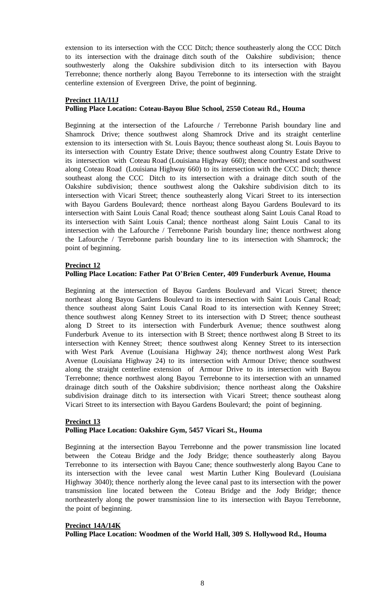extension to its intersection with the CCC Ditch; thence southeasterly along the CCC Ditch to its intersection with the drainage ditch south of the Oakshire subdivision; thence southwesterly along the Oakshire subdivision ditch to its intersection with Bayou Terrebonne; thence northerly along Bayou Terrebonne to its intersection with the straight centerline extension of Evergreen Drive, the point of beginning.

#### **Precinct 11A/11J**

# **Polling Place Location: Coteau-Bayou Blue School, 2550 Coteau Rd., Houma**

Beginning at the intersection of the Lafourche / Terrebonne Parish boundary line and Shamrock Drive; thence southwest along Shamrock Drive and its straight centerline extension to its intersection with St. Louis Bayou; thence southeast along St. Louis Bayou to its intersection with Country Estate Drive; thence southwest along Country Estate Drive to its intersection with Coteau Road (Louisiana Highway 660); thence northwest and southwest along Coteau Road (Louisiana Highway 660) to its intersection with the CCC Ditch; thence southeast along the CCC Ditch to its intersection with a drainage ditch south of the Oakshire subdivision; thence southwest along the Oakshire subdivision ditch to its intersection with Vicari Street; thence southeasterly along Vicari Street to its intersection with Bayou Gardens Boulevard; thence northeast along Bayou Gardens Boulevard to its intersection with Saint Louis Canal Road; thence southeast along Saint Louis Canal Road to its intersection with Saint Louis Canal; thence northeast along Saint Louis Canal to its intersection with the Lafourche / Terrebonne Parish boundary line; thence northwest along the Lafourche / Terrebonne parish boundary line to its intersection with Shamrock; the point of beginning.

# **Precinct 12**

# **Polling Place Location: Father Pat O'Brien Center, 409 Funderburk Avenue, Houma**

Beginning at the intersection of Bayou Gardens Boulevard and Vicari Street; thence northeast along Bayou Gardens Boulevard to its intersection with Saint Louis Canal Road; thence southeast along Saint Louis Canal Road to its intersection with Kenney Street; thence southwest along Kenney Street to its intersection with D Street; thence southeast along D Street to its intersection with Funderburk Avenue; thence southwest along Funderburk Avenue to its intersection with B Street; thence northwest along B Street to its intersection with Kenney Street; thence southwest along Kenney Street to its intersection with West Park Avenue (Louisiana Highway 24); thence northwest along West Park Avenue (Louisiana Highway 24) to its intersection with Armour Drive; thence southwest along the straight centerline extension of Armour Drive to its intersection with Bayou Terrebonne; thence northwest along Bayou Terrebonne to its intersection with an unnamed drainage ditch south of the Oakshire subdivision; thence northeast along the Oakshire subdivision drainage ditch to its intersection with Vicari Street; thence southeast along Vicari Street to its intersection with Bayou Gardens Boulevard; the point of beginning.

# **Precinct 13 Polling Place Location: Oakshire Gym, 5457 Vicari St., Houma**

Beginning at the intersection Bayou Terrebonne and the power transmission line located between the Coteau Bridge and the Jody Bridge; thence southeasterly along Bayou Terrebonne to its intersection with Bayou Cane; thence southwesterly along Bayou Cane to its intersection with the levee canal west Martin Luther King Boulevard (Louisiana Highway 3040); thence northerly along the levee canal past to its intersection with the power transmission line located between the Coteau Bridge and the Jody Bridge; thence northeasterly along the power transmission line to its intersection with Bayou Terrebonne, the point of beginning.

#### **Precinct 14A/14K**

**Polling Place Location: Woodmen of the World Hall, 309 S. Hollywood Rd., Houma**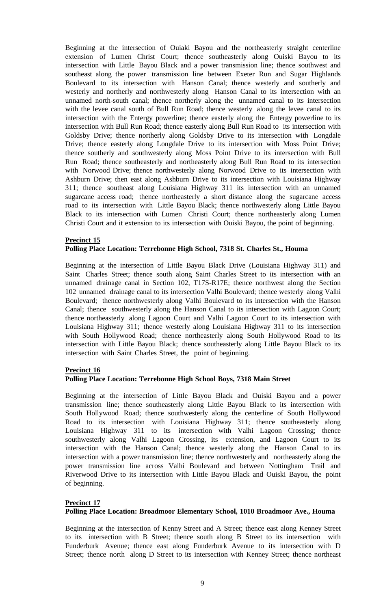Beginning at the intersection of Ouiaki Bayou and the northeasterly straight centerline extension of Lumen Christ Court; thence southeasterly along Ouiski Bayou to its intersection with Little Bayou Black and a power transmission line; thence southwest and southeast along the power transmission line between Exeter Run and Sugar Highlands Boulevard to its intersection with Hanson Canal; thence westerly and southerly and westerly and northerly and northwesterly along Hanson Canal to its intersection with an unnamed north-south canal; thence northerly along the unnamed canal to its intersection with the levee canal south of Bull Run Road; thence westerly along the levee canal to its intersection with the Entergy powerline; thence easterly along the Entergy powerline to its intersection with Bull Run Road; thence easterly along Bull Run Road to its intersection with Goldsby Drive; thence northerly along Goldsby Drive to its intersection with Longdale Drive; thence easterly along Longdale Drive to its intersection with Moss Point Drive; thence southerly and southwesterly along Moss Point Drive to its intersection with Bull Run Road; thence southeasterly and northeasterly along Bull Run Road to its intersection with Norwood Drive; thence northwesterly along Norwood Drive to its intersection with Ashburn Drive; then east along Ashburn Drive to its intersection with Louisiana Highway 311; thence southeast along Louisiana Highway 311 its intersection with an unnamed sugarcane access road; thence northeasterly a short distance along the sugarcane access road to its intersection with Little Bayou Black; thence northwesterly along Little Bayou Black to its intersection with Lumen Christi Court; thence northeasterly along Lumen Christi Court and it extension to its intersection with Ouiski Bayou, the point of beginning.

# **Precinct 15**

# **Polling Place Location: Terrebonne High School, 7318 St. Charles St., Houma**

Beginning at the intersection of Little Bayou Black Drive (Louisiana Highway 311) and Saint Charles Street; thence south along Saint Charles Street to its intersection with an unnamed drainage canal in Section 102, T17S-R17E; thence northwest along the Section 102 unnamed drainage canal to its intersection Valhi Boulevard; thence westerly along Valhi Boulevard; thence northwesterly along Valhi Boulevard to its intersection with the Hanson Canal; thence southwesterly along the Hanson Canal to its intersection with Lagoon Court; thence northeasterly along Lagoon Court and Valhi Lagoon Court to its intersection with Louisiana Highway 311; thence westerly along Louisiana Highway 311 to its intersection with South Hollywood Road; thence northeasterly along South Hollywood Road to its intersection with Little Bayou Black; thence southeasterly along Little Bayou Black to its intersection with Saint Charles Street, the point of beginning.

# **Precinct 16**

# **Polling Place Location: Terrebonne High School Boys, 7318 Main Street**

Beginning at the intersection of Little Bayou Black and Ouiski Bayou and a power transmission line; thence southeasterly along Little Bayou Black to its intersection with South Hollywood Road; thence southwesterly along the centerline of South Hollywood Road to its intersection with Louisiana Highway 311; thence southeasterly along Louisiana Highway 311 to its intersection with Valhi Lagoon Crossing; thence southwesterly along Valhi Lagoon Crossing, its extension, and Lagoon Court to its intersection with the Hanson Canal; thence westerly along the Hanson Canal to its intersection with a power transmission line; thence northwesterly and northeasterly along the power transmission line across Valhi Boulevard and between Nottingham Trail and Riverwood Drive to its intersection with Little Bayou Black and Ouiski Bayou, the point of beginning.

# **Precinct 17**

#### **Polling Place Location: Broadmoor Elementary School, 1010 Broadmoor Ave., Houma**

Beginning at the intersection of Kenny Street and A Street; thence east along Kenney Street to its intersection with B Street; thence south along B Street to its intersection with Funderburk Avenue; thence east along Funderburk Avenue to its intersection with D Street; thence north along D Street to its intersection with Kenney Street; thence northeast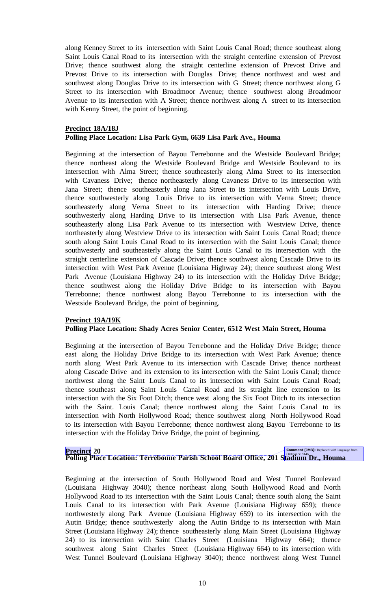along Kenney Street to its intersection with Saint Louis Canal Road; thence southeast along Saint Louis Canal Road to its intersection with the straight centerline extension of Prevost Drive; thence southwest along the straight centerline extension of Prevost Drive and Prevost Drive to its intersection with Douglas Drive; thence northwest and west and southwest along Douglas Drive to its intersection with G Street; thence northwest along G Street to its intersection with Broadmoor Avenue; thence southwest along Broadmoor Avenue to its intersection with A Street; thence northwest along A street to its intersection with Kenny Street, the point of beginning.

# **Precinct 18A/18J Polling Place Location: Lisa Park Gym, 6639 Lisa Park Ave., Houma**

Beginning at the intersection of Bayou Terrebonne and the Westside Boulevard Bridge; thence northeast along the Westside Boulevard Bridge and Westside Boulevard to its intersection with Alma Street; thence southeasterly along Alma Street to its intersection with Cavaness Drive; thence northeasterly along Cavaness Drive to its intersection with Jana Street; thence southeasterly along Jana Street to its intersection with Louis Drive, thence southwesterly along Louis Drive to its intersection with Verna Street; thence southeasterly along Verna Street to its intersection with Harding Drive; thence southwesterly along Harding Drive to its intersection with Lisa Park Avenue, thence southeasterly along Lisa Park Avenue to its intersection with Westview Drive, thence northeasterly along Westview Drive to its intersection with Saint Louis Canal Road; thence south along Saint Louis Canal Road to its intersection with the Saint Louis Canal; thence southwesterly and southeasterly along the Saint Louis Canal to its intersection with the straight centerline extension of Cascade Drive; thence southwest along Cascade Drive to its intersection with West Park Avenue (Louisiana Highway 24); thence southeast along West Park Avenue (Louisiana Highway 24) to its intersection with the Holiday Drive Bridge; thence southwest along the Holiday Drive Bridge to its intersection with Bayou Terrebonne; thence northwest along Bayou Terrebonne to its intersection with the Westside Boulevard Bridge, the point of beginning.

# **Precinct 19A/19K**

#### **Polling Place Location: Shady Acres Senior Center, 6512 West Main Street, Houma**

Beginning at the intersection of Bayou Terrebonne and the Holiday Drive Bridge; thence east along the Holiday Drive Bridge to its intersection with West Park Avenue; thence north along West Park Avenue to its intersection with Cascade Drive; thence northeast along Cascade Drive and its extension to its intersection with the Saint Louis Canal; thence northwest along the Saint Louis Canal to its intersection with Saint Louis Canal Road; thence southeast along Saint Louis Canal Road and its straight line extension to its intersection with the Six Foot Ditch; thence west along the Six Foot Ditch to its intersection with the Saint. Louis Canal; thence northwest along the Saint Louis Canal to its intersection with North Hollywood Road; thence southwest along North Hollywood Road to its intersection with Bayou Terrebonne; thence northwest along Bayou Terrebonne to its intersection with the Holiday Drive Bridge, the point of beginning.

# **Precinct 20**<br>Polling Place Location: Terrebonne Parish School Board Office, 201 Stadium Dr., Houma

Beginning at the intersection of South Hollywood Road and West Tunnel Boulevard (Louisiana Highway 3040); thence northeast along South Hollywood Road and North Hollywood Road to its intersection with the Saint Louis Canal; thence south along the Saint Louis Canal to its intersection with Park Avenue (Louisiana Highway 659); thence northwesterly along Park Avenue (Louisiana Highway 659) to its intersection with the Autin Bridge; thence southwesterly along the Autin Bridge to its intersection with Main Street (Louisiana Highway 24); thence southeasterly along Main Street (Louisiana Highway 24) to its intersection with Saint Charles Street (Louisiana Highway 664); thence southwest along Saint Charles Street (Louisiana Highway 664) to its intersection with West Tunnel Boulevard (Louisiana Highway 3040); thence northwest along West Tunnel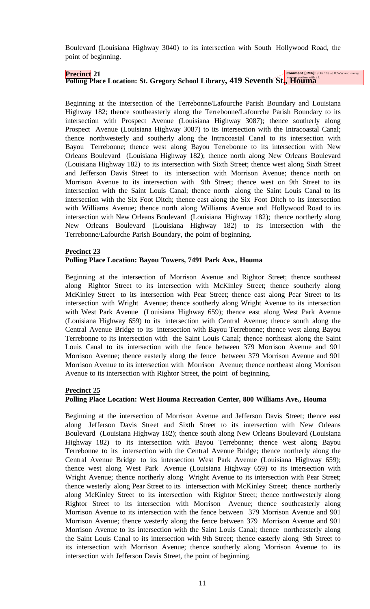Boulevard (Louisiana Highway 3040) to its intersection with South Hollywood Road, the point of beginning.

# **Precinct** 21<br>Polling Place Location: St. Gregory School Library, 419 Seventh St., Houma

Beginning at the intersection of the Terrebonne/Lafourche Parish Boundary and Louisiana Highway 182; thence southeasterly along the Terrebonne/Lafourche Parish Boundary to its intersection with Prospect Avenue (Louisiana Highway 3087); thence southerly along Prospect Avenue (Louisiana Highway 3087) to its intersection with the Intracoastal Canal; thence northwesterly and southerly along the Intracoastal Canal to its intersection with Bayou Terrebonne; thence west along Bayou Terrebonne to its intersection with New Orleans Boulevard (Louisiana Highway 182); thence north along New Orleans Boulevard (Louisiana Highway 182) to its intersection with Sixth Street; thence west along Sixth Street and Jefferson Davis Street to its intersection with Morrison Avenue; thence north on Morrison Avenue to its intersection with 9th Street; thence west on 9th Street to its intersection with the Saint Louis Canal; thence north along the Saint Louis Canal to its intersection with the Six Foot Ditch; thence east along the Six Foot Ditch to its intersection with Williams Avenue; thence north along Williams Avenue and Hollywood Road to its intersection with New Orleans Boulevard (Louisiana Highway 182); thence northerly along New Orleans Boulevard (Louisiana Highway 182) to its intersection with the Terrebonne/Lafourche Parish Boundary, the point of beginning.

## **Precinct 23**

## **Polling Place Location: Bayou Towers, 7491 Park Ave., Houma**

Beginning at the intersection of Morrison Avenue and Rightor Street; thence southeast along Rightor Street to its intersection with McKinley Street; thence southerly along McKinley Street to its intersection with Pear Street; thence east along Pear Street to its intersection with Wright Avenue; thence southerly along Wright Avenue to its intersection with West Park Avenue (Louisiana Highway 659); thence east along West Park Avenue (Louisiana Highway 659) to its intersection with Central Avenue; thence south along the Central Avenue Bridge to its intersection with Bayou Terrebonne; thence west along Bayou Terrebonne to its intersection with the Saint Louis Canal; thence northeast along the Saint Louis Canal to its intersection with the fence between 379 Morrison Avenue and 901 Morrison Avenue; thence easterly along the fence between 379 Morrison Avenue and 901 Morrison Avenue to its intersection with Morrison Avenue; thence northeast along Morrison Avenue to its intersection with Rightor Street, the point of beginning.

#### **Precinct 25**

# **Polling Place Location: West Houma Recreation Center, 800 Williams Ave., Houma**

Beginning at the intersection of Morrison Avenue and Jefferson Davis Street; thence east along Jefferson Davis Street and Sixth Street to its intersection with New Orleans Boulevard (Louisiana Highway 182); thence south along New Orleans Boulevard (Louisiana Highway 182) to its intersection with Bayou Terrebonne; thence west along Bayou Terrebonne to its intersection with the Central Avenue Bridge; thence northerly along the Central Avenue Bridge to its intersection West Park Avenue (Louisiana Highway 659); thence west along West Park Avenue (Louisiana Highway 659) to its intersection with Wright Avenue; thence northerly along Wright Avenue to its intersection with Pear Street; thence westerly along Pear Street to its intersection with McKinley Street; thence northerly along McKinley Street to its intersection with Rightor Street; thence northwesterly along Rightor Street to its intersection with Morrison Avenue; thence southeasterly along Morrison Avenue to its intersection with the fence between 379 Morrison Avenue and 901 Morrison Avenue; thence westerly along the fence between 379 Morrison Avenue and 901 Morrison Avenue to its intersection with the Saint Louis Canal; thence northeasterly along the Saint Louis Canal to its intersection with 9th Street; thence easterly along 9th Street to its intersection with Morrison Avenue; thence southerly along Morrison Avenue to its intersection with Jefferson Davis Street, the point of beginning.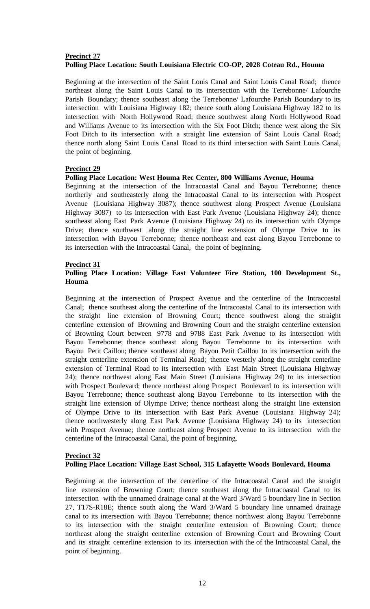# **Precinct 27 Polling Place Location: South Louisiana Electric CO-OP, 2028 Coteau Rd., Houma**

Beginning at the intersection of the Saint Louis Canal and Saint Louis Canal Road; thence northeast along the Saint Louis Canal to its intersection with the Terrebonne/ Lafourche Parish Boundary; thence southeast along the Terrebonne/ Lafourche Parish Boundary to its intersection with Louisiana Highway 182; thence south along Louisiana Highway 182 to its intersection with North Hollywood Road; thence southwest along North Hollywood Road and Williams Avenue to its intersection with the Six Foot Ditch; thence west along the Six Foot Ditch to its intersection with a straight line extension of Saint Louis Canal Road; thence north along Saint Louis Canal Road to its third intersection with Saint Louis Canal, the point of beginning.

# **Precinct 29**

#### **Polling Place Location: West Houma Rec Center, 800 Williams Avenue, Houma**

Beginning at the intersection of the Intracoastal Canal and Bayou Terrebonne; thence northerly and southeasterly along the Intracoastal Canal to its intersection with Prospect Avenue (Louisiana Highway 3087); thence southwest along Prospect Avenue (Louisiana Highway 3087) to its intersection with East Park Avenue (Louisiana Highway 24); thence southeast along East Park Avenue (Louisiana Highway 24) to its intersection with Olympe Drive; thence southwest along the straight line extension of Olympe Drive to its intersection with Bayou Terrebonne; thence northeast and east along Bayou Terrebonne to its intersection with the Intracoastal Canal, the point of beginning.

## **Precinct 31**

# **Polling Place Location: Village East Volunteer Fire Station, 100 Development St., Houma**

Beginning at the intersection of Prospect Avenue and the centerline of the Intracoastal Canal; thence southeast along the centerline of the Intracoastal Canal to its intersection with the straight line extension of Browning Court; thence southwest along the straight centerline extension of Browning and Browning Court and the straight centerline extension of Browning Court between 9778 and 9788 East Park Avenue to its intersection with Bayou Terrebonne; thence southeast along Bayou Terrebonne to its intersection with Bayou Petit Caillou; thence southeast along Bayou Petit Caillou to its intersection with the straight centerline extension of Terminal Road; thence westerly along the straight centerline extension of Terminal Road to its intersection with East Main Street (Louisiana Highway 24); thence northwest along East Main Street (Louisiana Highway 24) to its intersection with Prospect Boulevard; thence northeast along Prospect Boulevard to its intersection with Bayou Terrebonne; thence southeast along Bayou Terrebonne to its intersection with the straight line extension of Olympe Drive; thence northeast along the straight line extension of Olympe Drive to its intersection with East Park Avenue (Louisiana Highway 24); thence northwesterly along East Park Avenue (Louisiana Highway 24) to its intersection with Prospect Avenue; thence northeast along Prospect Avenue to its intersection with the centerline of the Intracoastal Canal, the point of beginning.

# **Precinct 32**

# **Polling Place Location: Village East School, 315 Lafayette Woods Boulevard, Houma**

Beginning at the intersection of the centerline of the Intracoastal Canal and the straight line extension of Browning Court; thence southeast along the Intracoastal Canal to its intersection with the unnamed drainage canal at the Ward 3/Ward 5 boundary line in Section 27, T17S-R18E; thence south along the Ward 3/Ward 5 boundary line unnamed drainage canal to its intersection with Bayou Terrebonne; thence northwest along Bayou Terrebonne to its intersection with the straight centerline extension of Browning Court; thence northeast along the straight centerline extension of Browning Court and Browning Court and its straight centerline extension to its intersection with the of the Intracoastal Canal, the point of beginning.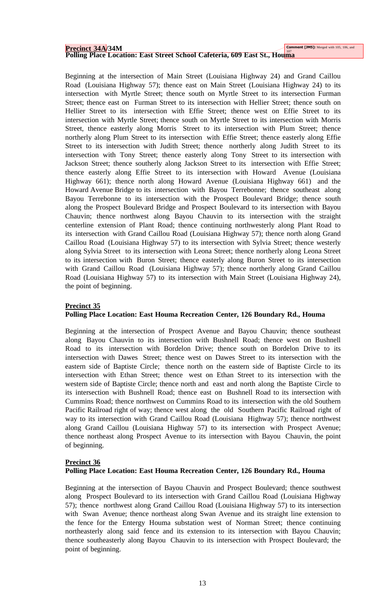# **Precinct 34A**/34M<br>Polling Place Location: East Street School Cafeteria, 609 East St., Houma

Beginning at the intersection of Main Street (Louisiana Highway 24) and Grand Caillou Road (Louisiana Highway 57); thence east on Main Street (Louisiana Highway 24) to its intersection with Myrtle Street; thence south on Myrtle Street to its intersection Furman Street; thence east on Furman Street to its intersection with Hellier Street; thence south on Hellier Street to its intersection with Effie Street; thence west on Effie Street to its intersection with Myrtle Street; thence south on Myrtle Street to its intersection with Morris Street, thence easterly along Morris Street to its intersection with Plum Street; thence northerly along Plum Street to its intersection with Effie Street; thence easterly along Effie Street to its intersection with Judith Street; thence northerly along Judith Street to its intersection with Tony Street; thence easterly along Tony Street to its intersection with Jackson Street; thence southerly along Jackson Street to its intersection with Effie Street; thence easterly along Effie Street to its intersection with Howard Avenue (Louisiana Highway 661); thence north along Howard Avenue (Louisiana Highway 661) and the Howard Avenue Bridge to its intersection with Bayou Terrebonne; thence southeast along Bayou Terrebonne to its intersection with the Prospect Boulevard Bridge; thence south along the Prospect Boulevard Bridge and Prospect Boulevard to its intersection with Bayou Chauvin; thence northwest along Bayou Chauvin to its intersection with the straight centerline extension of Plant Road; thence continuing northwesterly along Plant Road to its intersection with Grand Caillou Road (Louisiana Highway 57); thence north along Grand Caillou Road (Louisiana Highway 57) to its intersection with Sylvia Street; thence westerly along Sylvia Street to its intersection with Leona Street; thence northerly along Leona Street to its intersection with Buron Street; thence easterly along Buron Street to its intersection with Grand Caillou Road (Louisiana Highway 57); thence northerly along Grand Caillou Road (Louisiana Highway 57) to its intersection with Main Street (Louisiana Highway 24), the point of beginning.

# **Precinct 35**

# **Polling Place Location: East Houma Recreation Center, 126 Boundary Rd., Houma**

Beginning at the intersection of Prospect Avenue and Bayou Chauvin; thence southeast along Bayou Chauvin to its intersection with Bushnell Road; thence west on Bushnell Road to its intersection with Bordelon Drive; thence south on Bordelon Drive to its intersection with Dawes Street; thence west on Dawes Street to its intersection with the eastern side of Baptiste Circle; thence north on the eastern side of Baptiste Circle to its intersection with Ethan Street; thence west on Ethan Street to its intersection with the western side of Baptiste Circle; thence north and east and north along the Baptiste Circle to its intersection with Bushnell Road; thence east on Bushnell Road to its intersection with Cummins Road; thence northwest on Cummins Road to its intersection with the old Southern Pacific Railroad right of way; thence west along the old Southern Pacific Railroad right of way to its intersection with Grand Caillou Road (Louisiana Highway 57); thence northwest along Grand Caillou (Louisiana Highway 57) to its intersection with Prospect Avenue; thence northeast along Prospect Avenue to its intersection with Bayou Chauvin, the point of beginning.

# **Precinct 36**

# **Polling Place Location: East Houma Recreation Center, 126 Boundary Rd., Houma**

Beginning at the intersection of Bayou Chauvin and Prospect Boulevard; thence southwest along Prospect Boulevard to its intersection with Grand Caillou Road (Louisiana Highway 57); thence northwest along Grand Caillou Road (Louisiana Highway 57) to its intersection with Swan Avenue; thence northeast along Swan Avenue and its straight line extension to the fence for the Entergy Houma substation west of Norman Street; thence continuing northeasterly along said fence and its extension to its intersection with Bayou Chauvin; thence southeasterly along Bayou Chauvin to its intersection with Prospect Boulevard; the point of beginning.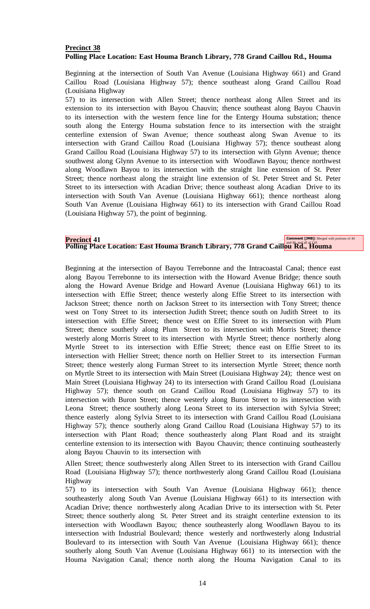# **Precinct 38 Polling Place Location: East Houma Branch Library, 778 Grand Caillou Rd., Houma**

Beginning at the intersection of South Van Avenue (Louisiana Highway 661) and Grand Caillou Road (Louisiana Highway 57); thence southeast along Grand Caillou Road (Louisiana Highway

57) to its intersection with Allen Street; thence northeast along Allen Street and its extension to its intersection with Bayou Chauvin; thence southeast along Bayou Chauvin to its intersection with the western fence line for the Entergy Houma substation; thence south along the Entergy Houma substation fence to its intersection with the straight centerline extension of Swan Avenue; thence southeast along Swan Avenue to its intersection with Grand Caillou Road (Louisiana Highway 57); thence southeast along Grand Caillou Road (Louisiana Highway 57) to its intersection with Glynn Avenue; thence southwest along Glynn Avenue to its intersection with Woodlawn Bayou; thence northwest along Woodlawn Bayou to its intersection with the straight line extension of St. Peter Street; thence northeast along the straight line extension of St. Peter Street and St. Peter Street to its intersection with Acadian Drive; thence southeast along Acadian Drive to its intersection with South Van Avenue (Louisiana Highway 661); thence northeast along South Van Avenue (Louisiana Highway 661) to its intersection with Grand Caillou Road (Louisiana Highway 57), the point of beginning.

# **Precinct** 41<br>Polling Place Location: East Houma Branch Library, 778 Grand Caillou<sup>nd 46 and all of U8</sup>. Houma

Beginning at the intersection of Bayou Terrebonne and the Intracoastal Canal; thence east along Bayou Terrebonne to its intersection with the Howard Avenue Bridge; thence south along the Howard Avenue Bridge and Howard Avenue (Louisiana Highway 661) to its intersection with Effie Street; thence westerly along Effie Street to its intersection with Jackson Street; thence north on Jackson Street to its intersection with Tony Street; thence west on Tony Street to its intersection Judith Street; thence south on Judith Street to its intersection with Effie Street; thence west on Effie Street to its intersection with Plum Street; thence southerly along Plum Street to its intersection with Morris Street; thence westerly along Morris Street to its intersection with Myrtle Street; thence northerly along Myrtle Street to its intersection with Effie Street; thence east on Effie Street to its intersection with Hellier Street; thence north on Hellier Street to its intersection Furman Street; thence westerly along Furman Street to its intersection Myrtle Street; thence north on Myrtle Street to its intersection with Main Street (Louisiana Highway 24); thence west on Main Street (Louisiana Highway 24) to its intersection with Grand Caillou Road (Louisiana Highway 57); thence south on Grand Caillou Road (Louisiana Highway 57) to its intersection with Buron Street; thence westerly along Buron Street to its intersection with Leona Street; thence southerly along Leona Street to its intersection with Sylvia Street; thence easterly along Sylvia Street to its intersection with Grand Caillou Road (Louisiana Highway 57); thence southerly along Grand Caillou Road (Louisiana Highway 57) to its intersection with Plant Road; thence southeasterly along Plant Road and its straight centerline extension to its intersection with Bayou Chauvin; thence continuing southeasterly along Bayou Chauvin to its intersection with

Allen Street; thence southwesterly along Allen Street to its intersection with Grand Caillou Road (Louisiana Highway 57); thence northwesterly along Grand Caillou Road (Louisiana Highway

57) to its intersection with South Van Avenue (Louisiana Highway 661); thence southeasterly along South Van Avenue (Louisiana Highway 661) to its intersection with Acadian Drive; thence northwesterly along Acadian Drive to its intersection with St. Peter Street; thence southerly along St. Peter Street and its straight centerline extension to its intersection with Woodlawn Bayou; thence southeasterly along Woodlawn Bayou to its intersection with Industrial Boulevard; thence westerly and northwesterly along Industrial Boulevard to its intersection with South Van Avenue (Louisiana Highway 661); thence southerly along South Van Avenue (Louisiana Highway 661) to its intersection with the Houma Navigation Canal; thence north along the Houma Navigation Canal to its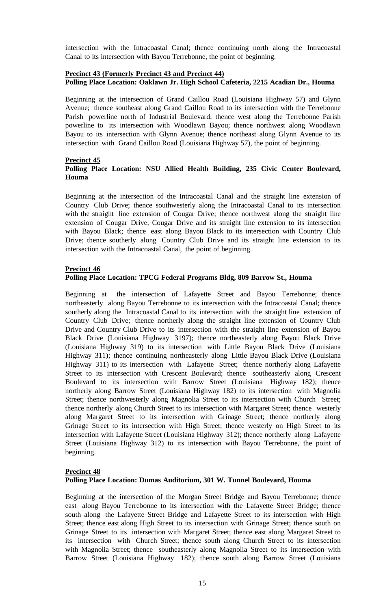intersection with the Intracoastal Canal; thence continuing north along the Intracoastal Canal to its intersection with Bayou Terrebonne, the point of beginning.

# **Precinct 43 (Formerly Precinct 43 and Precinct 44) Polling Place Location: Oaklawn Jr. High School Cafeteria, 2215 Acadian Dr., Houma**

Beginning at the intersection of Grand Caillou Road (Louisiana Highway 57) and Glynn Avenue; thence southeast along Grand Caillou Road to its intersection with the Terrebonne Parish powerline north of Industrial Boulevard; thence west along the Terrebonne Parish powerline to its intersection with Woodlawn Bayou; thence northwest along Woodlawn Bayou to its intersection with Glynn Avenue; thence northeast along Glynn Avenue to its intersection with Grand Caillou Road (Louisiana Highway 57), the point of beginning.

## **Precinct 45**

# **Polling Place Location: NSU Allied Health Building, 235 Civic Center Boulevard, Houma**

Beginning at the intersection of the Intracoastal Canal and the straight line extension of Country Club Drive; thence southwesterly along the Intracoastal Canal to its intersection with the straight line extension of Cougar Drive; thence northwest along the straight line extension of Cougar Drive, Cougar Drive and its straight line extension to its intersection with Bayou Black; thence east along Bayou Black to its intersection with Country Club Drive; thence southerly along Country Club Drive and its straight line extension to its intersection with the Intracoastal Canal, the point of beginning.

## **Precinct 46**

## **Polling Place Location: TPCG Federal Programs Bldg, 809 Barrow St., Houma**

Beginning at the intersection of Lafayette Street and Bayou Terrebonne; thence northeasterly along Bayou Terrebonne to its intersection with the Intracoastal Canal; thence southerly along the Intracoastal Canal to its intersection with the straight line extension of Country Club Drive; thence northerly along the straight line extension of Country Club Drive and Country Club Drive to its intersection with the straight line extension of Bayou Black Drive (Louisiana Highway 3197); thence northeasterly along Bayou Black Drive (Louisiana Highway 319) to its intersection with Little Bayou Black Drive (Louisiana Highway 311); thence continuing northeasterly along Little Bayou Black Drive (Louisiana Highway 311) to its intersection with Lafayette Street; thence northerly along Lafayette Street to its intersection with Crescent Boulevard; thence southeasterly along Crescent Boulevard to its intersection with Barrow Street (Louisiana Highway 182); thence northerly along Barrow Street (Louisiana Highway 182) to its intersection with Magnolia Street; thence northwesterly along Magnolia Street to its intersection with Church Street; thence northerly along Church Street to its intersection with Margaret Street; thence westerly along Margaret Street to its intersection with Grinage Street; thence northerly along Grinage Street to its intersection with High Street; thence westerly on High Street to its intersection with Lafayette Street (Louisiana Highway 312); thence northerly along Lafayette Street (Louisiana Highway 312) to its intersection with Bayou Terrebonne, the point of beginning.

# **Precinct 48**

# **Polling Place Location: Dumas Auditorium, 301 W. Tunnel Boulevard, Houma**

Beginning at the intersection of the Morgan Street Bridge and Bayou Terrebonne; thence east along Bayou Terrebonne to its intersection with the Lafayette Street Bridge; thence south along the Lafayette Street Bridge and Lafayette Street to its intersection with High Street; thence east along High Street to its intersection with Grinage Street; thence south on Grinage Street to its intersection with Margaret Street; thence east along Margaret Street to its intersection with Church Street; thence south along Church Street to its intersection with Magnolia Street; thence southeasterly along Magnolia Street to its intersection with Barrow Street (Louisiana Highway 182); thence south along Barrow Street (Louisiana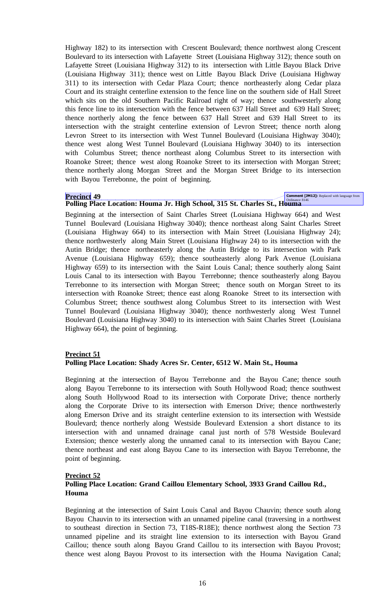Highway 182) to its intersection with Crescent Boulevard; thence northwest along Crescent Boulevard to its intersection with Lafayette Street (Louisiana Highway 312); thence south on Lafayette Street (Louisiana Highway 312) to its intersection with Little Bayou Black Drive (Louisiana Highway 311); thence west on Little Bayou Black Drive (Louisiana Highway 311) to its intersection with Cedar Plaza Court; thence northeasterly along Cedar plaza Court and its straight centerline extension to the fence line on the southern side of Hall Street which sits on the old Southern Pacific Railroad right of way; thence southwesterly along this fence line to its intersection with the fence between 637 Hall Street and 639 Hall Street; thence northerly along the fence between 637 Hall Street and 639 Hall Street to its intersection with the straight centerline extension of Levron Street; thence north along Levron Street to its intersection with West Tunnel Boulevard (Louisiana Highway 3040); thence west along West Tunnel Boulevard (Louisiana Highway 3040) to its intersection with Columbus Street; thence northeast along Columbus Street to its intersection with Roanoke Street; thence west along Roanoke Street to its intersection with Morgan Street; thence northerly along Morgan Street and the Morgan Street Bridge to its intersection with Bayou Terrebonne, the point of beginning.

**Precinct 49**<br>Polling Place Location: Houma Jr. High School, 315 St. Charles St., Houma

Beginning at the intersection of Saint Charles Street (Louisiana Highway 664) and West Tunnel Boulevard (Louisiana Highway 3040); thence northeast along Saint Charles Street (Louisiana Highway 664) to its intersection with Main Street (Louisiana Highway 24); thence northwesterly along Main Street (Louisiana Highway 24) to its intersection with the Autin Bridge; thence northeasterly along the Autin Bridge to its intersection with Park Avenue (Louisiana Highway 659); thence southeasterly along Park Avenue (Louisiana Highway 659) to its intersection with the Saint Louis Canal; thence southerly along Saint Louis Canal to its intersection with Bayou Terrebonne; thence southeasterly along Bayou Terrebonne to its intersection with Morgan Street; thence south on Morgan Street to its intersection with Roanoke Street; thence east along Roanoke Street to its intersection with Columbus Street; thence southwest along Columbus Street to its intersection with West Tunnel Boulevard (Louisiana Highway 3040); thence northwesterly along West Tunnel Boulevard (Louisiana Highway 3040) to its intersection with Saint Charles Street (Louisiana Highway 664), the point of beginning.

# **Precinct 51**

# **Polling Place Location: Shady Acres Sr. Center, 6512 W. Main St., Houma**

Beginning at the intersection of Bayou Terrebonne and the Bayou Cane; thence south along Bayou Terrebonne to its intersection with South Hollywood Road; thence southwest along South Hollywood Road to its intersection with Corporate Drive; thence northerly along the Corporate Drive to its intersection with Emerson Drive; thence northwesterly along Emerson Drive and its straight centerline extension to its intersection with Westside Boulevard; thence northerly along Westside Boulevard Extension a short distance to its intersection with and unnamed drainage canal just north of 578 Westside Boulevard Extension; thence westerly along the unnamed canal to its intersection with Bayou Cane; thence northeast and east along Bayou Cane to its intersection with Bayou Terrebonne, the point of beginning.

# **Precinct 52**

# **Polling Place Location: Grand Caillou Elementary School, 3933 Grand Caillou Rd., Houma**

Beginning at the intersection of Saint Louis Canal and Bayou Chauvin; thence south along Bayou Chauvin to its intersection with an unnamed pipeline canal (traversing in a northwest to southeast direction in Section 73, T18S-R18E); thence northwest along the Section 73 unnamed pipeline and its straight line extension to its intersection with Bayou Grand Caillou; thence south along Bayou Grand Caillou to its intersection with Bayou Provost; thence west along Bayou Provost to its intersection with the Houma Navigation Canal;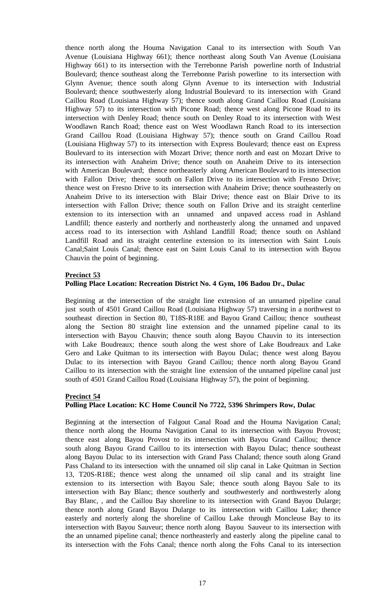thence north along the Houma Navigation Canal to its intersection with South Van Avenue (Louisiana Highway 661); thence northeast along South Van Avenue (Louisiana Highway 661) to its intersection with the Terrebonne Parish powerline north of Industrial Boulevard; thence southeast along the Terrebonne Parish powerline to its intersection with Glynn Avenue; thence south along Glynn Avenue to its intersection with Industrial Boulevard; thence southwesterly along Industrial Boulevard to its intersection with Grand Caillou Road (Louisiana Highway 57); thence south along Grand Caillou Road (Louisiana Highway 57) to its intersection with Picone Road; thence west along Picone Road to its intersection with Denley Road; thence south on Denley Road to its intersection with West Woodlawn Ranch Road; thence east on West Woodlawn Ranch Road to its intersection Grand Caillou Road (Louisiana Highway 57); thence south on Grand Caillou Road (Louisiana Highway 57) to its intersection with Express Boulevard; thence east on Express Boulevard to its intersection with Mozart Drive; thence north and east on Mozart Drive to its intersection with Anaheim Drive; thence south on Anaheim Drive to its intersection with American Boulevard; thence northeasterly along American Boulevard to its intersection with Fallon Drive; thence south on Fallon Drive to its intersection with Fresno Drive; thence west on Fresno Drive to its intersection with Anaheim Drive; thence southeasterly on Anaheim Drive to its intersection with Blair Drive; thence east on Blair Drive to its intersection with Fallon Drive; thence south on Fallon Drive and its straight centerline extension to its intersection with an unnamed and unpaved access road in Ashland Landfill; thence easterly and northerly and northeasterly along the unnamed and unpaved access road to its intersection with Ashland Landfill Road; thence south on Ashland Landfill Road and its straight centerline extension to its intersection with Saint Louis Canal;Saint Louis Canal; thence east on Saint Louis Canal to its intersection with Bayou Chauvin the point of beginning.

#### **Precinct 53**

#### **Polling Place Location: Recreation District No. 4 Gym, 106 Badou Dr., Dulac**

Beginning at the intersection of the straight line extension of an unnamed pipeline canal just south of 4501 Grand Caillou Road (Louisiana Highway 57) traversing in a northwest to southeast direction in Section 80, T18S-R18E and Bayou Grand Caillou; thence southeast along the Section 80 straight line extension and the unnamed pipeline canal to its intersection with Bayou Chauvin; thence south along Bayou Chauvin to its intersection with Lake Boudreaux; thence south along the west shore of Lake Boudreaux and Lake Gero and Lake Quitman to its intersection with Bayou Dulac; thence west along Bayou Dulac to its intersection with Bayou Grand Caillou; thence north along Bayou Grand Caillou to its intersection with the straight line extension of the unnamed pipeline canal just south of 4501 Grand Caillou Road (Louisiana Highway 57), the point of beginning.

#### **Precinct 54**

# **Polling Place Location: KC Home Council No 7722, 5396 Shrimpers Row, Dulac**

Beginning at the intersection of Falgout Canal Road and the Houma Navigation Canal; thence north along the Houma Navigation Canal to its intersection with Bayou Provost; thence east along Bayou Provost to its intersection with Bayou Grand Caillou; thence south along Bayou Grand Caillou to its intersection with Bayou Dulac; thence southeast along Bayou Dulac to its intersection with Grand Pass Chaland; thence south along Grand Pass Chaland to its intersection with the unnamed oil slip canal in Lake Quitman in Section 13, T20S-R18E; thence west along the unnamed oil slip canal and its straight line extension to its intersection with Bayou Sale; thence south along Bayou Sale to its intersection with Bay Blanc; thence southerly and southwesterly and northwesterly along Bay Blanc, , and the Caillou Bay shoreline to its intersection with Grand Bayou Dularge; thence north along Grand Bayou Dularge to its intersection with Caillou Lake; thence easterly and norterly along the shoreline of Caillou Lake through Moncleuse Bay to its intersection with Bayou Sauveur; thence north along Bayou Sauveur to its intersection with the an unnamed pipeline canal; thence northeasterly and easterly along the pipeline canal to its intersection with the Fohs Canal; thence north along the Fohs Canal to its intersection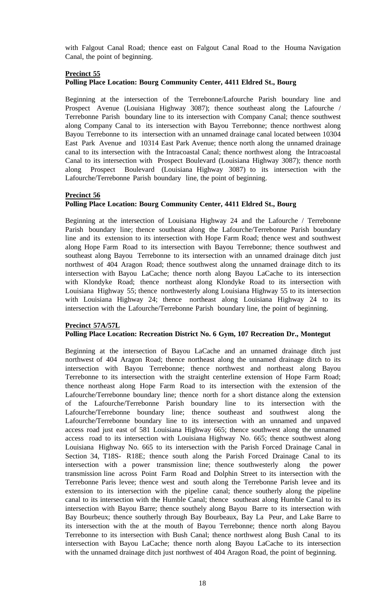with Falgout Canal Road; thence east on Falgout Canal Road to the Houma Navigation Canal, the point of beginning.

# **Precinct 55**

# **Polling Place Location: Bourg Community Center, 4411 Eldred St., Bourg**

Beginning at the intersection of the Terrebonne/Lafourche Parish boundary line and Prospect Avenue (Louisiana Highway 3087); thence southeast along the Lafourche / Terrebonne Parish boundary line to its intersection with Company Canal; thence southwest along Company Canal to its intersection with Bayou Terrebonne; thence northwest along Bayou Terrebonne to its intersection with an unnamed drainage canal located between 10304 East Park Avenue and 10314 East Park Avenue; thence north along the unnamed drainage canal to its intersection with the Intracoastal Canal; thence northwest along the Intracoastal Canal to its intersection with Prospect Boulevard (Louisiana Highway 3087); thence north along Prospect Boulevard (Louisiana Highway 3087) to its intersection with the Lafourche/Terrebonne Parish boundary line, the point of beginning.

# **Precinct 56**

## **Polling Place Location: Bourg Community Center, 4411 Eldred St., Bourg**

Beginning at the intersection of Louisiana Highway 24 and the Lafourche / Terrebonne Parish boundary line; thence southeast along the Lafourche/Terrebonne Parish boundary line and its extension to its intersection with Hope Farm Road; thence west and southwest along Hope Farm Road to its intersection with Bayou Terrebonne; thence southwest and southeast along Bayou Terrebonne to its intersection with an unnamed drainage ditch just northwest of 404 Aragon Road; thence southwest along the unnamed drainage ditch to its intersection with Bayou LaCache; thence north along Bayou LaCache to its intersection with Klondyke Road; thence northeast along Klondyke Road to its intersection with Louisiana Highway 55; thence northwesterly along Louisiana Highway 55 to its intersection with Louisiana Highway 24; thence northeast along Louisiana Highway 24 to its intersection with the Lafourche/Terrebonne Parish boundary line, the point of beginning.

#### **Precinct 57A/57L Polling Place Location: Recreation District No. 6 Gym, 107 Recreation Dr., Montegut**

Beginning at the intersection of Bayou LaCache and an unnamed drainage ditch just northwest of 404 Aragon Road; thence northeast along the unnamed drainage ditch to its intersection with Bayou Terrebonne; thence northwest and northeast along Bayou Terrebonne to its intersection with the straight centerline extension of Hope Farm Road; thence northeast along Hope Farm Road to its intersection with the extension of the Lafourche/Terrebonne boundary line; thence north for a short distance along the extension of the Lafourche/Terrebonne Parish boundary line to its intersection with the Lafourche/Terrebonne boundary line; thence southeast and southwest along the Lafourche/Terrebonne boundary line to its intersection with an unnamed and unpaved access road just east of 581 Louisiana Highway 665; thence southwest along the unnamed access road to its intersection with Louisiana Highway No. 665; thence southwest along Louisiana Highway No. 665 to its intersection with the Parish Forced Drainage Canal in Section 34, T18S- R18E; thence south along the Parish Forced Drainage Canal to its intersection with a power transmission line; thence southwesterly along the power transmission line across Point Farm Road and Dolphin Street to its intersection with the Terrebonne Paris levee; thence west and south along the Terrebonne Parish levee and its extension to its intersection with the pipeline canal; thence southerly along the pipeline canal to its intersection with the Humble Canal; thence southeast along Humble Canal to its intersection with Bayou Barre; thence southely along Bayou Barre to its intersection with Bay Bourbeux; thence southerly through Bay Bourbeaux, Bay La Peur, and Lake Barre to its intersection with the at the mouth of Bayou Terrebonne; thence north along Bayou Terrebonne to its intersection with Bush Canal; thence northwest along Bush Canal to its intersection with Bayou LaCache; thence north along Bayou LaCache to its intersection with the unnamed drainage ditch just northwest of 404 Aragon Road, the point of beginning.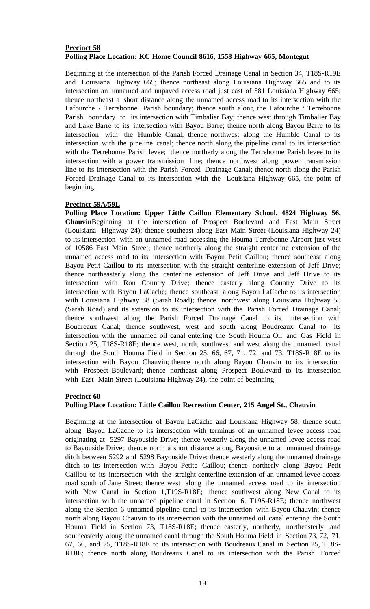# **Precinct 58 Polling Place Location: KC Home Council 8616, 1558 Highway 665, Montegut**

Beginning at the intersection of the Parish Forced Drainage Canal in Section 34, T18S-R19E and Louisiana Highway 665; thence northeast along Louisiana Highway 665 and to its intersection an unnamed and unpaved access road just east of 581 Louisiana Highway 665; thence northeast a short distance along the unnamed access road to its intersection with the Lafourche / Terrebonne Parish boundary; thence south along the Lafourche / Terrebonne Parish boundary to its intersection with Timbalier Bay; thence west through Timbalier Bay and Lake Barre to its intersection with Bayou Barre; thence north along Bayou Barre to its intersection with the Humble Canal; thence northwest along the Humble Canal to its intersection with the pipeline canal; thence north along the pipeline canal to its intersection with the Terrebonne Parish levee; thence northerly along the Terrebonne Parish levee to its intersection with a power transmission line; thence northwest along power transmission line to its intersection with the Parish Forced Drainage Canal; thence north along the Parish Forced Drainage Canal to its intersection with the Louisiana Highway 665, the point of beginning.

# **Precinct 59A/59L**

**Polling Place Location: Upper Little Caillou Elementary School, 4824 Highway 56, Chauvin**Beginning at the intersection of Prospect Boulevard and East Main Street (Louisiana Highway 24); thence southeast along East Main Street (Louisiana Highway 24) to its intersection with an unnamed road accessing the Houma-Terrebonne Airport just west of 10586 East Main Street; thence northerly along the straight centerline extension of the unnamed access road to its intersection with Bayou Petit Caillou; thence southeast along Bayou Petit Caillou to its intersection with the straight centerline extension of Jeff Drive; thence northeasterly along the centerline extension of Jeff Drive and Jeff Drive to its intersection with Ron Country Drive; thence easterly along Country Drive to its intersection with Bayou LaCache; thence southeast along Bayou LaCache to its intersection with Louisiana Highway 58 (Sarah Road); thence northwest along Louisiana Highway 58 (Sarah Road) and its extension to its intersection with the Parish Forced Drainage Canal; thence southwest along the Parish Forced Drainage Canal to its intersection with Boudreaux Canal; thence southwest, west and south along Boudreaux Canal to its intersection with the unnamed oil canal entering the South Houma Oil and Gas Field in Section 25, T18S-R18E; thence west, north, southwest and west along the unnamed canal through the South Houma Field in Section 25, 66, 67, 71, 72, and 73, T18S-R18E to its intersection with Bayou Chauvin; thence north along Bayou Chauvin to its intersection with Prospect Boulevard; thence northeast along Prospect Boulevard to its intersection with East Main Street (Louisiana Highway 24), the point of beginning.

#### **Precinct 60**

# **Polling Place Location: Little Caillou Recreation Center, 215 Angel St., Chauvin**

Beginning at the intersection of Bayou LaCache and Louisiana Highway 58; thence south along Bayou LaCache to its intersection with terminus of an unnamed levee access road originating at 5297 Bayouside Drive; thence westerly along the unnamed levee access road to Bayouside Drive; thence north a short distance along Bayouside to an unnamed drainage ditch between 5292 and 5298 Bayouside Drive; thence westerly along the unnamed drainage ditch to its intersection with Bayou Petite Caillou; thence northerly along Bayou Petit Caillou to its intersection with the straight centerline extension of an unnamed levee access road south of Jane Street; thence west along the unnamed access road to its intersection with New Canal in Section 1,T19S-R18E; thence southwest along New Canal to its intersection with the unnamed pipeline canal in Section 6, T19S-R18E; thence northwest along the Section 6 unnamed pipeline canal to its intersection with Bayou Chauvin; thence north along Bayou Chauvin to its intersection with the unnamed oil canal entering the South Houma Field in Section 73, T18S-R18E; thence easterly, northerly, northeasterly ,and southeasterly along the unnamed canal through the South Houma Field in Section 73, 72, 71, 67, 66, and 25, T18S-R18E to its intersection with Boudreaux Canal in Section 25, T18S-R18E; thence north along Boudreaux Canal to its intersection with the Parish Forced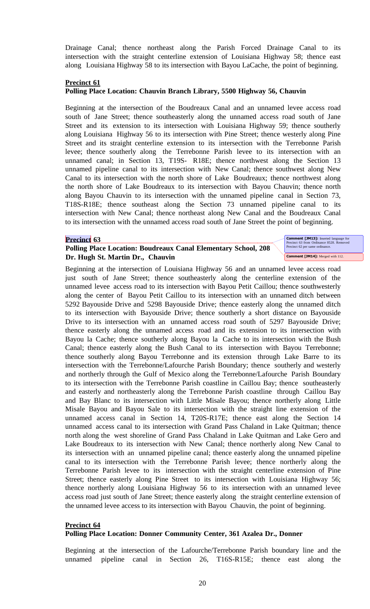Drainage Canal; thence northeast along the Parish Forced Drainage Canal to its intersection with the straight centerline extension of Louisiana Highway 58; thence east along Louisiana Highway 58 to its intersection with Bayou LaCache, the point of beginning.

## **Precinct 61**

# **Polling Place Location: Chauvin Branch Library, 5500 Highway 56, Chauvin**

Beginning at the intersection of the Boudreaux Canal and an unnamed levee access road south of Jane Street; thence southeasterly along the unnamed access road south of Jane Street and its extension to its intersection with Louisiana Highway 59; thence southerly along Louisiana Highway 56 to its intersection with Pine Street; thence westerly along Pine Street and its straight centerline extension to its intersection with the Terrebonne Parish levee; thence southerly along the Terrebonne Parish levee to its intersection with an unnamed canal; in Section 13, T19S- R18E; thence northwest along the Section 13 unnamed pipeline canal to its intersection with New Canal; thence southwest along New Canal to its intersection with the north shore of Lake Boudreaux; thence northwest along the north shore of Lake Boudreaux to its intersection with Bayou Chauvin; thence north along Bayou Chauvin to its intersection with the unnamed pipeline canal in Section 73, T18S-R18E; thence southeast along the Section 73 unnamed pipeline canal to its intersection with New Canal; thence northeast along New Canal and the Boudreaux Canal to its intersection with the unnamed access road south of Jane Street the point of beginning.

#### **Precinct 63**

# **Polling Place Location: Boudreaux Canal Elementary School, 208 Dr. Hugh St. Martin Dr., Chauvin**

**Comment [JM13]:** Inserted language for Precinct 63 from Ordinance 8528. Removed Precinct 62 per same ordinance. **Comment [JM14]:** Merged with 112.

Beginning at the intersection of Louisiana Highway 56 and an unnamed levee access road just south of Jane Street; thence southeasterly along the centerline extension of the unnamed levee access road to its intersection with Bayou Petit Caillou; thence southwesterly along the center of Bayou Petit Caillou to its intersection with an unnamed ditch between 5292 Bayouside Drive and 5298 Bayouside Drive; thence easterly along the unnamed ditch to its intersection with Bayouside Drive; thence southerly a short distance on Bayouside Drive to its intersection with an unnamed access road south of 5297 Bayouside Drive; thence easterly along the unnamed access road and its extension to its intersection with Bayou la Cache; thence southerly along Bayou la Cache to its intersection with the Bush Canal; thence easterly along the Bush Canal to its intersection with Bayou Terrebonne; thence southerly along Bayou Terrebonne and its extension through Lake Barre to its intersection with the Terrebonne/Lafourche Parish Boundary; thence southerly and westerly and northerly through the Gulf of Mexico along the Terrebonne/Lafourche Parish Boundary to its intersection with the Terrebonne Parish coastline in Caillou Bay; thence southeasterly and easterly and northeasterly along the Terrebonne Parish coastline through Caillou Bay and Bay Blanc to its intersection with Little Misale Bayou; thence northerly along Little Misale Bayou and Bayou Sale to its intersection with the straight line extension of the unnamed access canal in Section 14, T20S-R17E; thence east along the Section 14 unnamed access canal to its intersection with Grand Pass Chaland in Lake Quitman; thence north along the west shoreline of Grand Pass Chaland in Lake Quitman and Lake Gero and Lake Boudreaux to its intersection with New Canal; thence northerly along New Canal to its intersection with an unnamed pipeline canal; thence easterly along the unnamed pipeline canal to its intersection with the Terrebonne Parish levee; thence northerly along the Terrebonne Parish levee to its intersection with the straight centerline extension of Pine Street; thence easterly along Pine Street to its intersection with Louisiana Highway 56; thence northerly along Louisiana Highway 56 to its intersection with an unnamed levee access road just south of Jane Street; thence easterly along the straight centerline extension of the unnamed levee access to its intersection with Bayou Chauvin, the point of beginning.

#### **Precinct 64 Polling Place Location: Donner Community Center, 361 Azalea Dr., Donner**

Beginning at the intersection of the Lafourche/Terrebonne Parish boundary line and the unnamed pipeline canal in Section 26, T16S-R15E; thence east along the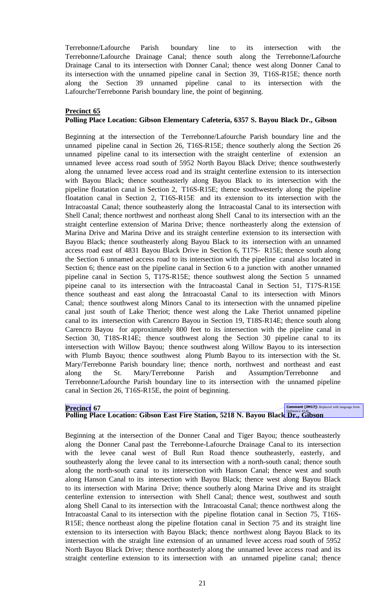Terrebonne/Lafourche Parish boundary line to its intersection with the Terrebonne/Lafourche Drainage Canal; thence south along the Terrebonne/Lafourche Drainage Canal to its intersection with Donner Canal; thence west along Donner Canal to its intersection with the unnamed pipeline canal in Section 39, T16S-R15E; thence north along the Section 39 unnamed pipeline canal to its intersection with the Lafourche/Terrebonne Parish boundary line, the point of beginning.

# **Precinct 65**

# **Polling Place Location: Gibson Elementary Cafeteria, 6357 S. Bayou Black Dr., Gibson**

Beginning at the intersection of the Terrebonne/Lafourche Parish boundary line and the unnamed pipeline canal in Section 26, T16S-R15E; thence southerly along the Section 26 unnamed pipeline canal to its intersection with the straight centerline of extension an unnamed levee access road south of 5952 North Bayou Black Drive; thence southwesterly along the unnamed levee access road and its straight centerline extension to its intersection with Bayou Black; thence southeasterly along Bayou Black to its intersection with the pipeline floatation canal in Section 2, T16S-R15E; thence southwesterly along the pipeline floatation canal in Section 2, T16S-R15E and its extension to its intersection with the Intracoastal Canal; thence southeasterly along the Intracoastal Canal to its intersection with Shell Canal; thence northwest and northeast along Shell Canal to its intersection with an the straight centerline extension of Marina Drive; thence northeasterly along the extension of Marina Drive and Marina Drive and its straight centerline extension to its intersection with Bayou Black; thence southeasterly along Bayou Black to its intersection with an unnamed access road east of 4831 Bayou Black Drive in Section 6, T17S- R15E; thence south along the Section 6 unnamed access road to its intersection with the pipeline canal also located in Section 6; thence east on the pipeline canal in Section 6 to a junction with another unnamed pipeline canal in Section 5, T17S-R15E; thence southwest along the Section 5 unnamed pipeine canal to its intersection with the Intracoastal Canal in Section 51, T17S-R15E thence southeast and east along the Intracoastal Canal to its intersection with Minors Canal; thence southwest along Minors Canal to its intersection with the unnamed pipeline canal just south of Lake Theriot; thence west along the Lake Theriot unnamed pipeline canal to its intersection with Carencro Bayou in Section 19, T18S-R14E; thence south along Carencro Bayou for approximately 800 feet to its intersection with the pipeline canal in Section 30, T18S-R14E; thence southwest along the Section 30 pipeline canal to its intersection with Willow Bayou; thence southwest along Willow Bayou to its intersection with Plumb Bayou; thence southwest along Plumb Bayou to its intersection with the St. Mary/Terrebonne Parish boundary line; thence north, northwest and northeast and east along the St. Mary/Terrebonne Parish and Assumption/Terrebonne and Terrebonne/Lafourche Parish boundary line to its intersection with the unnamed pipeline canal in Section 26, T16S-R15E, the point of beginning.

# **Precinct 67**<br>Polling Place Location: Gibson East Fire Station, 5218 N. Bayou Black Dr., Gibson

Beginning at the intersection of the Donner Canal and Tiger Bayou; thence southeasterly along the Donner Canal past the Terrebonne-Lafourche Drainage Canal to its intersection with the levee canal west of Bull Run Road thence southeasterly, easterly, and southeasterly along the levee canal to its intersection with a north-south canal; thence south along the north-south canal to its intersection with Hanson Canal; thence west and south along Hanson Canal to its intersection with Bayou Black; thence west along Bayou Black to its intersection with Marina Drive; thence southerly along Marina Drive and its straight centerline extension to intersection with Shell Canal; thence west, southwest and south along Shell Canal to its intersection with the Intracoastal Canal; thence northwest along the Intracoastal Canal to its intersection with the pipeline flotation canal in Section 75, T16S-R15E; thence northeast along the pipeline flotation canal in Section 75 and its straight line extension to its intersection with Bayou Black; thence northwest along Bayou Black to its intersection with the straight line extension of an unnamed levee access road south of 5952 North Bayou Black Drive; thence northeasterly along the unnamed levee access road and its straight centerline extension to its intersection with an unnamed pipeline canal; thence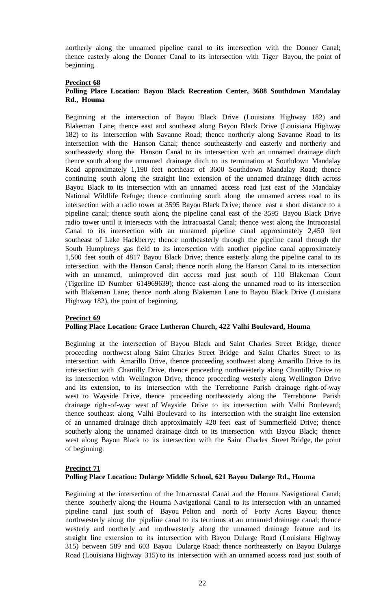northerly along the unnamed pipeline canal to its intersection with the Donner Canal; thence easterly along the Donner Canal to its intersection with Tiger Bayou, the point of beginning.

# **Precinct 68**

# **Polling Place Location: Bayou Black Recreation Center, 3688 Southdown Mandalay Rd., Houma**

Beginning at the intersection of Bayou Black Drive (Louisiana Highway 182) and Blakeman Lane; thence east and southeast along Bayou Black Drive (Louisiana Highway 182) to its intersection with Savanne Road; thence northerly along Savanne Road to its intersection with the Hanson Canal; thence southeasterly and easterly and northerly and southeasterly along the Hanson Canal to its intersection with an unnamed drainage ditch thence south along the unnamed drainage ditch to its termination at Southdown Mandalay Road approximately 1,190 feet northeast of 3600 Southdown Mandalay Road; thence continuing south along the straight line extension of the unnamed drainage ditch across Bayou Black to its intersection with an unnamed access road just east of the Mandalay National Wildlife Refuge; thence continuing south along the unnamed access road to its intersection with a radio tower at 3595 Bayou Black Drive; thence east a short distance to a pipeline canal; thence south along the pipeline canal east of the 3595 Bayou Black Drive radio tower until it intersects with the Intracoastal Canal; thence west along the Intracoastal Canal to its intersection with an unnamed pipeline canal approximately 2,450 feet southeast of Lake Hackberry; thence northeasterly through the pipeline canal through the South Humphreys gas field to its intersection with another pipeline canal approximately 1,500 feet south of 4817 Bayou Black Drive; thence easterly along the pipeline canal to its intersection with the Hanson Canal; thence north along the Hanson Canal to its intersection with an unnamed, unimproved dirt access road just south of 110 Blakeman Court (Tigerline ID Number 614969639); thence east along the unnamed road to its intersection with Blakeman Lane; thence north along Blakeman Lane to Bayou Black Drive (Louisiana Highway 182), the point of beginning.

# **Precinct 69**

# **Polling Place Location: Grace Lutheran Church, 422 Valhi Boulevard, Houma**

Beginning at the intersection of Bayou Black and Saint Charles Street Bridge, thence proceeding northwest along Saint Charles Street Bridge and Saint Charles Street to its intersection with Amarillo Drive, thence proceeding southwest along Amarillo Drive to its intersection with Chantilly Drive, thence proceeding northwesterly along Chantilly Drive to its intersection with Wellington Drive, thence proceeding westerly along Wellington Drive and its extension, to its intersection with the Terrebonne Parish drainage right-of-way west to Wayside Drive, thence proceeding northeasterly along the Terrebonne Parish drainage right-of-way west of Wayside Drive to its intersection with Valhi Boulevard; thence southeast along Valhi Boulevard to its intersection with the straight line extension of an unnamed drainage ditch approximately 420 feet east of Summerfield Drive; thence southerly along the unnamed drainage ditch to its intersection with Bayou Black; thence west along Bayou Black to its intersection with the Saint Charles Street Bridge, the point of beginning.

# **Precinct 71 Polling Place Location: Dularge Middle School, 621 Bayou Dularge Rd., Houma**

Beginning at the intersection of the Intracoastal Canal and the Houma Navigational Canal; thence southerly along the Houma Navigational Canal to its intersection with an unnamed pipeline canal just south of Bayou Pelton and north of Forty Acres Bayou; thence northwesterly along the pipeline canal to its terminus at an unnamed drainage canal; thence westerly and northerly and northwesterly along the unnamed drainage feature and its straight line extension to its intersection with Bayou Dularge Road (Louisiana Highway 315) between 589 and 603 Bayou Dularge Road; thence northeasterly on Bayou Dularge Road (Louisiana Highway 315) to its intersection with an unnamed access road just south of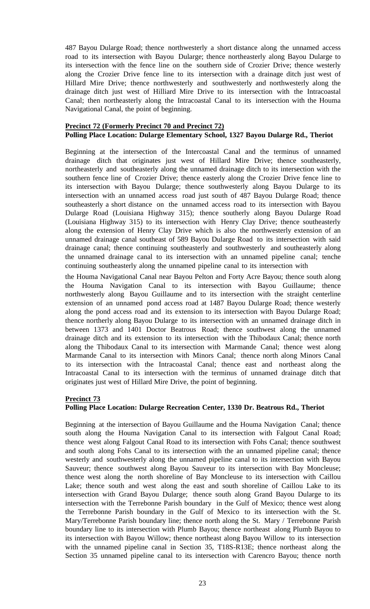487 Bayou Dularge Road; thence northwesterly a short distance along the unnamed access road to its intersection with Bayou Dularge; thence northeasterly along Bayou Dularge to its intersection with the fence line on the southern side of Crozier Drive; thence westerly along the Crozier Drive fence line to its intersection with a drainage ditch just west of Hillard Mire Drive; thence northwesterly and southwesterly and northwesterly along the drainage ditch just west of Hilliard Mire Drive to its intersection with the Intracoastal Canal; then northeasterly along the Intracoastal Canal to its intersection with the Houma Navigational Canal, the point of beginning.

## **Precinct 72 (Formerly Precinct 70 and Precinct 72) Polling Place Location: Dularge Elementary School, 1327 Bayou Dularge Rd., Theriot**

Beginning at the intersection of the Intercoastal Canal and the terminus of unnamed drainage ditch that originates just west of Hillard Mire Drive; thence southeasterly, northeasterly and southeasterly along the unnamed drainage ditch to its intersection with the southern fence line of Crozier Drive; thence easterly along the Crozier Drive fence line to its intersection with Bayou Dularge; thence southwesterly along Bayou Dularge to its intersection with an unnamed access road just south of 487 Bayou Dularge Road; thence southeasterly a short distance on the unnamed access road to its intersection with Bayou Dularge Road (Louisiana Highway 315); thence southerly along Bayou Dularge Road (Louisiana Highway 315) to its intersection with Henry Clay Drive; thence southeasterly along the extension of Henry Clay Drive which is also the northwesterly extension of an unnamed drainage canal southeast of 589 Bayou Dularge Road to its intersection with said drainage canal; thence continuing southeasterly and southwesterly and southeasterly along the unnamed drainage canal to its intersection with an unnamed pipeline canal; tenche continuing southeasterly along the unnamed pipeline canal to its intersection with

the Houma Navigational Canal near Bayou Pelton and Forty Acre Bayou; thence south along the Houma Navigation Canal to its intersection with Bayou Guillaume; thence northwesterly along Bayou Guillaume and to its intersection with the straight centerline extension of an unnamed pond access road at 1487 Bayou Dularge Road; thence westerly along the pond access road and its extension to its intersection with Bayou Dularge Road; thence northerly along Bayou Dularge to its intersection with an unnamed drainage ditch in between 1373 and 1401 Doctor Beatrous Road; thence southwest along the unnamed drainage ditch and its extension to its intersection with the Thibodaux Canal; thence north along the Thibodaux Canal to its intersection with Marmande Canal; thence west along Marmande Canal to its intersection with Minors Canal; thence north along Minors Canal to its intersection with the Intracoastal Canal; thence east and northeast along the Intracoastal Canal to its intersection with the terminus of unnamed drainage ditch that originates just west of Hillard Mire Drive, the point of beginning.

# **Precinct 73**

# **Polling Place Location: Dularge Recreation Center, 1330 Dr. Beatrous Rd., Theriot**

Beginning at the intersection of Bayou Guillaume and the Houma Navigation Canal; thence south along the Houma Navigation Canal to its intersection with Falgout Canal Road; thence west along Falgout Canal Road to its intersection with Fohs Canal; thence southwest and south along Fohs Canal to its intersection with the an unnamed pipeline canal; thence westerly and southwesterly along the unnamed pipeline canal to its intersection with Bayou Sauveur; thence southwest along Bayou Sauveur to its intersection with Bay Moncleuse; thence west along the north shoreline of Bay Moncleuse to its intersection with Caillou Lake; thence south and west along the east and south shoreline of Caillou Lake to its intersection with Grand Bayou Dularge; thence south along Grand Bayou Dularge to its intersection with the Terrebonne Parish boundary in the Gulf of Mexico; thence west along the Terrebonne Parish boundary in the Gulf of Mexico to its intersection with the St. Mary/Terrebonne Parish boundary line; thence north along the St. Mary / Terrebonne Parish boundary line to its intersection with Plumb Bayou; thence northeast along Plumb Bayou to its intersection with Bayou Willow; thence northeast along Bayou Willow to its intersection with the unnamed pipeline canal in Section 35, T18S-R13E; thence northeast along the Section 35 unnamed pipeline canal to its intersection with Carencro Bayou; thence north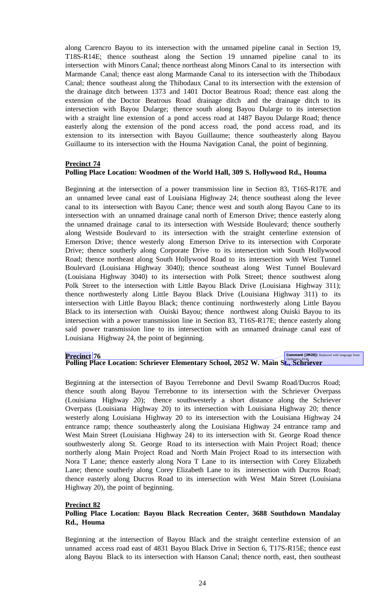along Carencro Bayou to its intersection with the unnamed pipeline canal in Section 19, T18S-R14E; thence southeast along the Section 19 unnamed pipeline canal to its intersection with Minors Canal; thence northeast along Minors Canal to its intersection with Marmande Canal; thence east along Marmande Canal to its intersection with the Thibodaux Canal; thence southeast along the Thibodaux Canal to its intersection with the extension of the drainage ditch between 1373 and 1401 Doctor Beatrous Road; thence east along the extension of the Doctor Beatrous Road drainage ditch and the drainage ditch to its intersection with Bayou Dularge; thence south along Bayou Dularge to its intersection with a straight line extension of a pond access road at 1487 Bayou Dularge Road; thence easterly along the extension of the pond access road, the pond access road, and its extension to its intersection with Bayou Guillaume; thence southeasterly along Bayou Guillaume to its intersection with the Houma Navigation Canal, the point of beginning.

## **Precinct 74**

# **Polling Place Location: Woodmen of the World Hall, 309 S. Hollywood Rd., Houma**

Beginning at the intersection of a power transmission line in Section 83, T16S-R17E and an unnamed levee canal east of Louisiana Highway 24; thence southeast along the levee canal to its intersection with Bayou Cane; thence west and south along Bayou Cane to its intersection with an unnamed drainage canal north of Emerson Drive; thence easterly along the unnamed drainage canal to its intersection with Westside Boulevard; thence southerly along Westside Boulevard to its intersection with the straight centerline extension of Emerson Drive; thence westerly along Emerson Drive to its intersection with Corporate Drive; thence southerly along Corporate Drive to its intersection with South Hollywood Road; thence northeast along South Hollywood Road to its intersection with West Tunnel Boulevard (Louisiana Highway 3040); thence southeast along West Tunnel Boulevard (Louisiana Highway 3040) to its intersection with Polk Street; thence southwest along Polk Street to the intersection with Little Bayou Black Drive (Louisiana Highway 311); thence northwesterly along Little Bayou Black Drive (Louisiana Highway 311) to its intersection with Little Bayou Black; thence continuing northwesterly along Little Bayou Black to its intersection with Ouiski Bayou; thence northwest along Ouiski Bayou to its intersection with a power transmission line in Section 83, T16S-R17E; thence easterly along said power transmission line to its intersection with an unnamed drainage canal east of Louisiana Highway 24, the point of beginning.

**Precinct 76**<br>Polling Place Location: Schriever Elementary School, 2052 W. Main St., Schriever

Beginning at the intersection of Bayou Terrebonne and Devil Swamp Road/Ducros Road; thence south along Bayou Terrebonne to its intersection with the Schriever Overpass (Louisiana Highway 20); thence southwesterly a short distance along the Schriever Overpass (Louisiana Highway 20) to its intersection with Louisiana Highway 20; thence westerly along Louisiana Highway 20 to its intersection with the Louisiana Highway 24 entrance ramp; thence southeasterly along the Louisiana Highway 24 entrance ramp and West Main Street (Louisiana Highway 24) to its intersection with St. George Road thence southwesterly along St. George Road to its intersection with Main Project Road; thence northerly along Main Project Road and North Main Project Road to its intersection with Nora T Lane; thence easterly along Nora T Lane to its intersection with Corey Elizabeth Lane; thence southerly along Corey Elizabeth Lane to its intersection with Ducros Road; thence easterly along Ducros Road to its intersection with West Main Street (Louisiana Highway 20), the point of beginning.

#### **Precinct 82**

# **Polling Place Location: Bayou Black Recreation Center, 3688 Southdown Mandalay Rd., Houma**

Beginning at the intersection of Bayou Black and the straight centerline extension of an unnamed access road east of 4831 Bayou Black Drive in Section 6, T17S-R15E; thence east along Bayou Black to its intersection with Hanson Canal; thence north, east, then southeast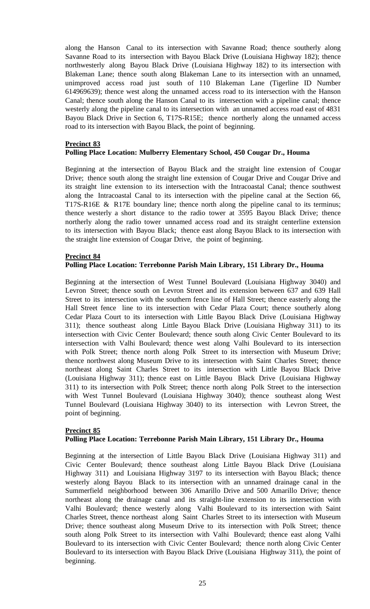along the Hanson Canal to its intersection with Savanne Road; thence southerly along Savanne Road to its intersection with Bayou Black Drive (Louisiana Highway 182); thence northwesterly along Bayou Black Drive (Louisiana Highway 182) to its intersection with Blakeman Lane; thence south along Blakeman Lane to its intersection with an unnamed, unimproved access road just south of 110 Blakeman Lane (Tigerline ID Number 614969639); thence west along the unnamed access road to its intersection with the Hanson Canal; thence south along the Hanson Canal to its intersection with a pipeline canal; thence westerly along the pipeline canal to its intersection with an unnamed access road east of 4831 Bayou Black Drive in Section 6, T17S-R15E; thence northerly along the unnamed access road to its intersection with Bayou Black, the point of beginning.

# **Precinct 83**

# **Polling Place Location: Mulberry Elementary School, 450 Cougar Dr., Houma**

Beginning at the intersection of Bayou Black and the straight line extension of Cougar Drive; thence south along the straight line extension of Cougar Drive and Cougar Drive and its straight line extension to its intersection with the Intracoastal Canal; thence southwest along the Intracoastal Canal to its intersection with the pipeline canal at the Section 66, T17S-R16E & R17E boundary line; thence north along the pipeline canal to its terminus; thence westerly a short distance to the radio tower at 3595 Bayou Black Drive; thence northerly along the radio tower unnamed access road and its straight centerline extension to its intersection with Bayou Black; thence east along Bayou Black to its intersection with the straight line extension of Cougar Drive, the point of beginning.

## **Precinct 84**

#### **Polling Place Location: Terrebonne Parish Main Library, 151 Library Dr., Houma**

Beginning at the intersection of West Tunnel Boulevard (Louisiana Highway 3040) and Levron Street; thence south on Levron Street and its extension between 637 and 639 Hall Street to its intersection with the southern fence line of Hall Street; thence easterly along the Hall Street fence line to its intersection with Cedar Plaza Court; thence southerly along Cedar Plaza Court to its intersection with Little Bayou Black Drive (Louisiana Highway 311); thence southeast along Little Bayou Black Drive (Louisiana Highway 311) to its intersection with Civic Center Boulevard; thence south along Civic Center Boulevard to its intersection with Valhi Boulevard; thence west along Valhi Boulevard to its intersection with Polk Street; thence north along Polk Street to its intersection with Museum Drive; thence northwest along Museum Drive to its intersection with Saint Charles Street; thence northeast along Saint Charles Street to its intersection with Little Bayou Black Drive (Louisiana Highway 311); thence east on Little Bayou Black Drive (Louisiana Highway 311) to its intersection with Polk Street; thence north along Polk Street to the intersection with West Tunnel Boulevard (Louisiana Highway 3040); thence southeast along West Tunnel Boulevard (Louisiana Highway 3040) to its intersection with Levron Street, the point of beginning.

#### **Precinct 85**

# **Polling Place Location: Terrebonne Parish Main Library, 151 Library Dr., Houma**

Beginning at the intersection of Little Bayou Black Drive (Louisiana Highway 311) and Civic Center Boulevard; thence southeast along Little Bayou Black Drive (Louisiana Highway 311) and Louisiana Highway 3197 to its intersection with Bayou Black; thence westerly along Bayou Black to its intersection with an unnamed drainage canal in the Summerfield neighborhood between 306 Amarillo Drive and 500 Amarillo Drive; thence northeast along the drainage canal and its straight-line extension to its intersection with Valhi Boulevard; thence westerly along Valhi Boulevard to its intersection with Saint Charles Street, thence northeast along Saint Charles Street to its intersection with Museum Drive; thence southeast along Museum Drive to its intersection with Polk Street; thence south along Polk Street to its intersection with Valhi Boulevard; thence east along Valhi Boulevard to its intersection with Civic Center Boulevard; thence north along Civic Center Boulevard to its intersection with Bayou Black Drive (Louisiana Highway 311), the point of beginning.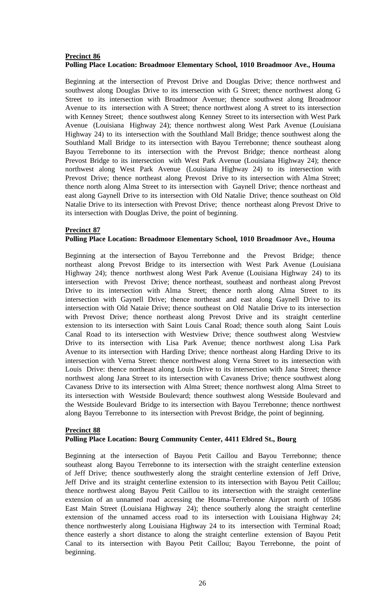# **Precinct 86 Polling Place Location: Broadmoor Elementary School, 1010 Broadmoor Ave., Houma**

Beginning at the intersection of Prevost Drive and Douglas Drive; thence northwest and southwest along Douglas Drive to its intersection with G Street; thence northwest along G Street to its intersection with Broadmoor Avenue; thence southwest along Broadmoor Avenue to its intersection with A Street; thence northwest along A street to its intersection with Kenney Street; thence southwest along Kenney Street to its intersection with West Park Avenue (Louisiana Highway 24); thence northwest along West Park Avenue (Louisiana Highway 24) to its intersection with the Southland Mall Bridge; thence southwest along the Southland Mall Bridge to its intersection with Bayou Terrebonne; thence southeast along Bayou Terrebonne to its intersection with the Prevost Bridge; thence northeast along Prevost Bridge to its intersection with West Park Avenue (Louisiana Highway 24); thence northwest along West Park Avenue (Louisiana Highway 24) to its intersection with Prevost Drive; thence northeast along Prevost Drive to its intersection with Alma Street; thence north along Alma Street to its intersection with Gaynell Drive; thence northeast and east along Gaynell Drive to its intersection with Old Natalie Drive; thence southeast on Old Natalie Drive to its intersection with Prevost Drive; thence northeast along Prevost Drive to its intersection with Douglas Drive, the point of beginning.

## **Precinct 87**

# **Polling Place Location: Broadmoor Elementary School, 1010 Broadmoor Ave., Houma**

Beginning at the intersection of Bayou Terrebonne and the Prevost Bridge; thence northeast along Prevost Bridge to its intersection with West Park Avenue (Louisiana Highway 24); thence northwest along West Park Avenue (Louisiana Highway 24) to its intersection with Prevost Drive; thence northeast, southeast and northeast along Prevost Drive to its intersection with Alma Street; thence north along Alma Street to its intersection with Gaynell Drive; thence northeast and east along Gaynell Drive to its intersection with Old Nataie Drive; thence southeast on Old Natalie Drive to its intersection with Prevost Drive; thence northeast along Prevost Drive and its straight centerline extension to its intersection with Saint Louis Canal Road; thence south along Saint Louis Canal Road to its intersection with Westview Drive; thence southwest along Westview Drive to its intersection with Lisa Park Avenue; thence northwest along Lisa Park Avenue to its intersection with Harding Drive; thence northeast along Harding Drive to its intersection with Verna Street: thence northwest along Verna Street to its intersection with Louis Drive: thence northeast along Louis Drive to its intersection with Jana Street; thence northwest along Jana Street to its intersection with Cavaness Drive; thence southwest along Cavaness Drive to its intersection with Alma Street; thence northwest along Alma Street to its intersection with Westside Boulevard; thence southwest along Westside Boulevard and the Westside Boulevard Bridge to its intersection with Bayou Terrebonne; thence northwest along Bayou Terrebonne to its intersection with Prevost Bridge, the point of beginning.

#### **Precinct 88 Polling Place Location: Bourg Community Center, 4411 Eldred St., Bourg**

Beginning at the intersection of Bayou Petit Caillou and Bayou Terrebonne; thence southeast along Bayou Terrebonne to its intersection with the straight centerline extension of Jeff Drive; thence southwesterly along the straight centerline extension of Jeff Drive, Jeff Drive and its straight centerline extension to its intersection with Bayou Petit Caillou; thence northwest along Bayou Petit Caillou to its intersection with the straight centerline extension of an unnamed road accessing the Houma-Terrebonne Airport north of 10586 East Main Street (Louisiana Highway 24); thence southerly along the straight centerline extension of the unnamed access road to its intersection with Louisiana Highway 24; thence northwesterly along Louisiana Highway 24 to its intersection with Terminal Road; thence easterly a short distance to along the straight centerline extension of Bayou Petit Canal to its intersection with Bayou Petit Caillou; Bayou Terrebonne, the point of beginning.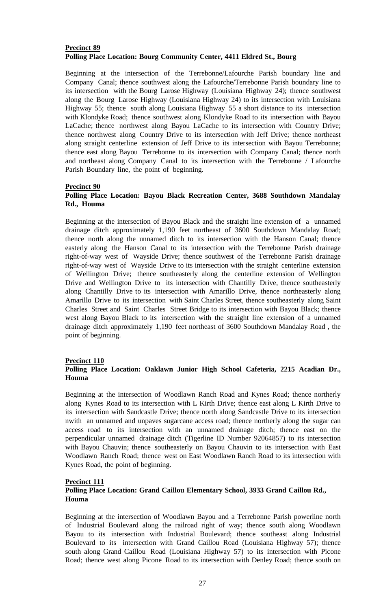# **Precinct 89 Polling Place Location: Bourg Community Center, 4411 Eldred St., Bourg**

Beginning at the intersection of the Terrebonne/Lafourche Parish boundary line and Company Canal; thence southwest along the Lafourche/Terrebonne Parish boundary line to its intersection with the Bourg Larose Highway (Louisiana Highway 24); thence southwest along the Bourg Larose Highway (Louisiana Highway 24) to its intersection with Louisiana Highway 55; thence south along Louisiana Highway 55 a short distance to its intersection with Klondyke Road; thence southwest along Klondyke Road to its intersection with Bayou LaCache; thence northwest along Bayou LaCache to its intersection with Country Drive; thence northwest along Country Drive to its intersection with Jeff Drive; thence northeast along straight centerline extension of Jeff Drive to its intersection with Bayou Terrebonne; thence east along Bayou Terrebonne to its intersection with Company Canal; thence north and northeast along Company Canal to its intersection with the Terrebonne / Lafourche Parish Boundary line, the point of beginning.

## **Precinct 90**

# **Polling Place Location: Bayou Black Recreation Center, 3688 Southdown Mandalay Rd., Houma**

Beginning at the intersection of Bayou Black and the straight line extension of a unnamed drainage ditch approximately 1,190 feet northeast of 3600 Southdown Mandalay Road; thence north along the unnamed ditch to its intersection with the Hanson Canal; thence easterly along the Hanson Canal to its intersection with the Terrebonne Parish drainage right-of-way west of Wayside Drive; thence southwest of the Terrebonne Parish drainage right-of-way west of Wayside Drive to its intersection with the straight centerline extension of Wellington Drive; thence southeasterly along the centerline extension of Wellington Drive and Wellington Drive to its intersection with Chantilly Drive, thence southeasterly along Chantilly Drive to its intersection with Amarillo Drive, thence northeasterly along Amarillo Drive to its intersection with Saint Charles Street, thence southeasterly along Saint Charles Street and Saint Charles Street Bridge to its intersection with Bayou Black; thence west along Bayou Black to its intersection with the straight line extension of a unnamed drainage ditch approximately 1,190 feet northeast of 3600 Southdown Mandalay Road , the point of beginning.

#### **Precinct 110**

# **Polling Place Location: Oaklawn Junior High School Cafeteria, 2215 Acadian Dr., Houma**

Beginning at the intersection of Woodlawn Ranch Road and Kynes Road; thence northerly along Kynes Road to its intersection with L Kirth Drive; thence east along L Kirth Drive to its intersection with Sandcastle Drive; thence north along Sandcastle Drive to its intersection nwith an unnamed and unpaves sugarcane access road; thence northerly along the sugar can access road to its intersection with an unnamed drainage ditch; thence east on the perpendicular unnamed drainage ditch (Tigerline ID Number 92064857) to its intersection with Bayou Chauvin; thence southeasterly on Bayou Chauvin to its intersection with East Woodlawn Ranch Road; thence west on East Woodlawn Ranch Road to its intersection with Kynes Road, the point of beginning.

#### **Precinct 111**

# **Polling Place Location: Grand Caillou Elementary School, 3933 Grand Caillou Rd., Houma**

Beginning at the intersection of Woodlawn Bayou and a Terrebonne Parish powerline north of Industrial Boulevard along the railroad right of way; thence south along Woodlawn Bayou to its intersection with Industrial Boulevard; thence southeast along Industrial Boulevard to its intersection with Grand Caillou Road (Louisiana Highway 57); thence south along Grand Caillou Road (Louisiana Highway 57) to its intersection with Picone Road; thence west along Picone Road to its intersection with Denley Road; thence south on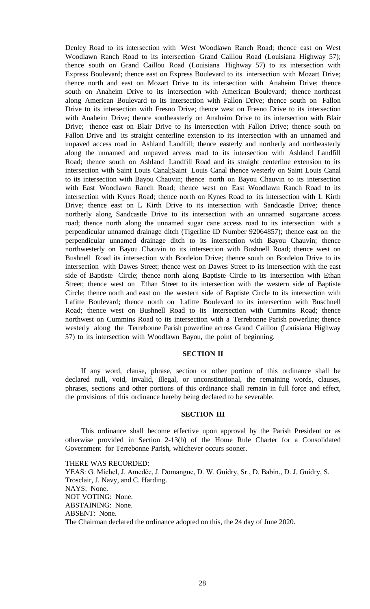Denley Road to its intersection with West Woodlawn Ranch Road; thence east on West Woodlawn Ranch Road to its intersection Grand Caillou Road (Louisiana Highway 57); thence south on Grand Caillou Road (Louisiana Highway 57) to its intersection with Express Boulevard; thence east on Express Boulevard to its intersection with Mozart Drive; thence north and east on Mozart Drive to its intersection with Anaheim Drive; thence south on Anaheim Drive to its intersection with American Boulevard; thence northeast along American Boulevard to its intersection with Fallon Drive; thence south on Fallon Drive to its intersection with Fresno Drive; thence west on Fresno Drive to its intersection with Anaheim Drive; thence southeasterly on Anaheim Drive to its intersection with Blair Drive; thence east on Blair Drive to its intersection with Fallon Drive; thence south on Fallon Drive and its straight centerline extension to its intersection with an unnamed and unpaved access road in Ashland Landfill; thence easterly and northerly and northeasterly along the unnamed and unpaved access road to its intersection with Ashland Landfill Road; thence south on Ashland Landfill Road and its straight centerline extension to its intersection with Saint Louis Canal;Saint Louis Canal thence westerly on Saint Louis Canal to its intersection with Bayou Chauvin; thence north on Bayou Chauvin to its intersection with East Woodlawn Ranch Road; thence west on East Woodlawn Ranch Road to its intersection with Kynes Road; thence north on Kynes Road to its intersection with L Kirth Drive; thence east on L Kirth Drive to its intersection with Sandcastle Drive; thence northerly along Sandcastle Drive to its intersection with an unnamed sugarcane access road; thence north along the unnamed sugar cane access road to its intersection with a perpendicular unnamed drainage ditch (Tigerline ID Number 92064857); thence east on the perpendicular unnamed drainage ditch to its intersection with Bayou Chauvin; thence northwesterly on Bayou Chauvin to its intersection with Bushnell Road; thence west on Bushnell Road its intersection with Bordelon Drive; thence south on Bordelon Drive to its intersection with Dawes Street; thence west on Dawes Street to its intersection with the east side of Baptiste Circle; thence north along Baptiste Circle to its intersection with Ethan Street; thence west on Ethan Street to its intersection with the western side of Baptiste Circle; thence north and east on the western side of Baptiste Circle to its intersection with Lafitte Boulevard; thence north on Lafitte Boulevard to its intersection with Buschnell Road; thence west on Bushnell Road to its intersection with Cummins Road; thence northwest on Cummins Road to its intersection with a Terrebonne Parish powerline; thence westerly along the Terrebonne Parish powerline across Grand Caillou (Louisiana Highway 57) to its intersection with Woodlawn Bayou, the point of beginning.

#### **SECTION II**

If any word, clause, phrase, section or other portion of this ordinance shall be declared null, void, invalid, illegal, or unconstitutional, the remaining words, clauses, phrases, sections and other portions of this ordinance shall remain in full force and effect, the provisions of this ordinance hereby being declared to be severable.

#### **SECTION III**

This ordinance shall become effective upon approval by the Parish President or as otherwise provided in Section 2-13(b) of the Home Rule Charter for a Consolidated Government for Terrebonne Parish, whichever occurs sooner.

THERE WAS RECORDED: YEAS: G. Michel, J. Amedée, J. Domangue, D. W. Guidry, Sr., D. Babin,, D. J. Guidry, S. Trosclair, J. Navy, and C. Harding. NAYS: None. NOT VOTING: None. ABSTAINING: None. ABSENT: None. The Chairman declared the ordinance adopted on this, the 24 day of June 2020.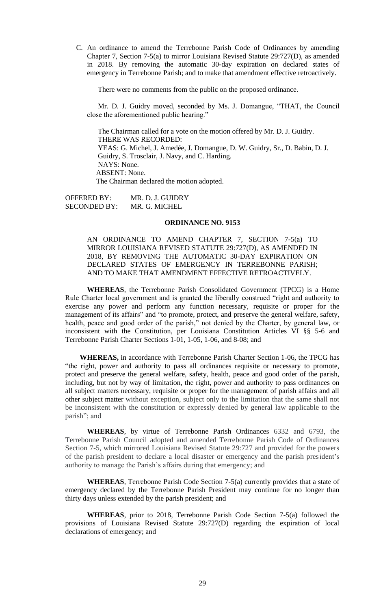C. [An ordinance to amend the Terrebonne Parish Code of Ordinances by amending](https://terrebonneparish.novusagenda.com/AgendaWeb/CoverSheet.aspx?ItemID=26327&MeetingID=2033)  [Chapter 7, Section 7-5\(a\) to mirror Louisiana Revised Statute 29:727\(D\), as amended](https://terrebonneparish.novusagenda.com/AgendaWeb/CoverSheet.aspx?ItemID=26327&MeetingID=2033)  in 2018. [By removing the automatic 30-day expiration on declared states of](https://terrebonneparish.novusagenda.com/AgendaWeb/CoverSheet.aspx?ItemID=26327&MeetingID=2033)  [emergency in Terrebonne Parish; and to make that amendment effective retroactively.](https://terrebonneparish.novusagenda.com/AgendaWeb/CoverSheet.aspx?ItemID=26327&MeetingID=2033)

There were no comments from the public on the proposed ordinance.

Mr. D. J. Guidry moved, seconded by Ms. J. Domangue, "THAT, the Council close the aforementioned public hearing."

The Chairman called for a vote on the motion offered by Mr. D. J. Guidry. THERE WAS RECORDED: YEAS: G. Michel, J. Amedée, J. Domangue, D. W. Guidry, Sr., D. Babin, D. J. Guidry, S. Trosclair, J. Navy, and C. Harding. NAYS: None. ABSENT: None. The Chairman declared the motion adopted.

OFFERED BY: MR. D. J. GUIDRY SECONDED BY: MR. G. MICHEL

#### **ORDINANCE NO. 9153**

AN ORDINANCE TO AMEND CHAPTER 7, SECTION 7-5(a) TO MIRROR LOUISIANA REVISED STATUTE 29:727(D), AS AMENDED IN 2018, BY REMOVING THE AUTOMATIC 30-DAY EXPIRATION ON DECLARED STATES OF EMERGENCY IN TERREBONNE PARISH; AND TO MAKE THAT AMENDMENT EFFECTIVE RETROACTIVELY.

**WHEREAS**, the Terrebonne Parish Consolidated Government (TPCG) is a Home Rule Charter local government and is granted the liberally construed "right and authority to exercise any power and perform any function necessary, requisite or proper for the management of its affairs" and "to promote, protect, and preserve the general welfare, safety, health, peace and good order of the parish," not denied by the Charter, by general law, or inconsistent with the Constitution, per Louisiana Constitution Articles VI §§ 5-6 and Terrebonne Parish Charter Sections 1-01, 1-05, 1-06, and 8-08; and

**WHEREAS,** in accordance with Terrebonne Parish Charter Section 1-06, the TPCG has "the right, power and authority to pass all ordinances requisite or necessary to promote, protect and preserve the general welfare, safety, health, peace and good order of the parish, including, but not by way of limitation, the right, power and authority to pass ordinances on all subject matters necessary, requisite or proper for the management of parish affairs and all other subject matter without exception, subject only to the limitation that the same shall not be inconsistent with the constitution or expressly denied by general law applicable to the parish"; and

**WHEREAS**, by virtue of Terrebonne Parish Ordinances 6332 and 6793, the Terrebonne Parish Council adopted and amended Terrebonne Parish Code of Ordinances Section 7-5, which mirrored Louisiana Revised Statute 29:727 and provided for the powers of the parish president to declare a local disaster or emergency and the parish president's authority to manage the Parish's affairs during that emergency; and

**WHEREAS**, Terrebonne Parish Code Section 7-5(a) currently provides that a state of emergency declared by the Terrebonne Parish President may continue for no longer than thirty days unless extended by the parish president; and

**WHEREAS**, prior to 2018, Terrebonne Parish Code Section 7-5(a) followed the provisions of Louisiana Revised Statute 29:727(D) regarding the expiration of local declarations of emergency; and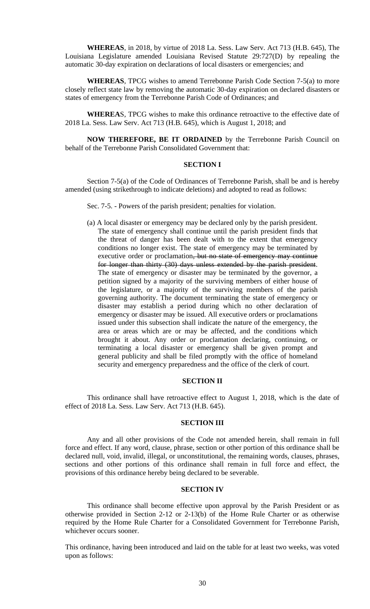**WHEREAS**, in 2018, by virtue of 2018 La. Sess. Law Serv. Act 713 (H.B. 645), The Louisiana Legislature amended Louisiana Revised Statute 29:727(D) by repealing the automatic 30-day expiration on declarations of local disasters or emergencies; and

**WHEREAS**, TPCG wishes to amend Terrebonne Parish Code Section 7-5(a) to more closely reflect state law by removing the automatic 30-day expiration on declared disasters or states of emergency from the Terrebonne Parish Code of Ordinances; and

**WHEREA**S, TPCG wishes to make this ordinance retroactive to the effective date of 2018 La. Sess. Law Serv. Act 713 (H.B. 645), which is August 1, 2018; and

**NOW THEREFORE, BE IT ORDAINED** by the Terrebonne Parish Council on behalf of the Terrebonne Parish Consolidated Government that:

#### **SECTION I**

Section 7-5(a) of the Code of Ordinances of Terrebonne Parish, shall be and is hereby amended (using strikethrough to indicate deletions) and adopted to read as follows:

Sec. 7-5. - Powers of the parish president; penalties for violation.

(a) A local disaster or emergency may be declared only by the parish president. The state of emergency shall continue until the parish president finds that the threat of danger has been dealt with to the extent that emergency conditions no longer exist. The state of emergency may be terminated by executive order or proclamation, but no state of emergency may continue for longer than thirty (30) days unless extended by the parish president. The state of emergency or disaster may be terminated by the governor, a petition signed by a majority of the surviving members of either house of the legislature, or a majority of the surviving members of the parish governing authority. The document terminating the state of emergency or disaster may establish a period during which no other declaration of emergency or disaster may be issued. All executive orders or proclamations issued under this subsection shall indicate the nature of the emergency, the area or areas which are or may be affected, and the conditions which brought it about. Any order or proclamation declaring, continuing, or terminating a local disaster or emergency shall be given prompt and general publicity and shall be filed promptly with the office of homeland security and emergency preparedness and the office of the clerk of court.

# **SECTION II**

This ordinance shall have retroactive effect to August 1, 2018, which is the date of effect of 2018 La. Sess. Law Serv. Act 713 (H.B. 645).

#### **SECTION III**

Any and all other provisions of the Code not amended herein, shall remain in full force and effect. If any word, clause, phrase, section or other portion of this ordinance shall be declared null, void, invalid, illegal, or unconstitutional, the remaining words, clauses, phrases, sections and other portions of this ordinance shall remain in full force and effect, the provisions of this ordinance hereby being declared to be severable.

## **SECTION IV**

This ordinance shall become effective upon approval by the Parish President or as otherwise provided in Section 2-12 or 2-13(b) of the Home Rule Charter or as otherwise required by the Home Rule Charter for a Consolidated Government for Terrebonne Parish, whichever occurs sooner.

This ordinance, having been introduced and laid on the table for at least two weeks, was voted upon as follows: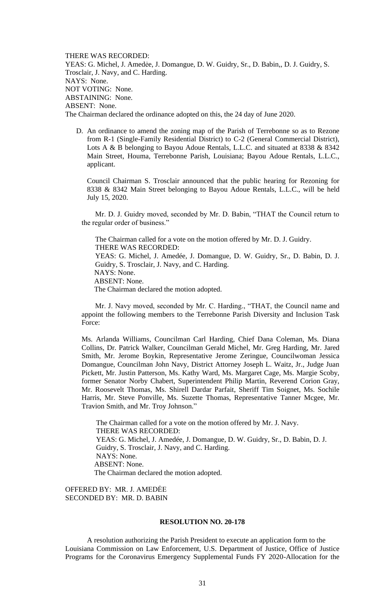THERE WAS RECORDED: YEAS: G. Michel, J. Amedėe, J. Domangue, D. W. Guidry, Sr., D. Babin,, D. J. Guidry, S. Trosclair, J. Navy, and C. Harding. NAYS: None. NOT VOTING: None. ABSTAINING: None. ABSENT: None. The Chairman declared the ordinance adopted on this, the 24 day of June 2020.

D. An ordinance to amend the zoning map of the Parish of Terrebonne so as to Rezone from R-1 (Single-Family Residential District) to C-2 (General Commercial District), Lots A & B belonging to Bayou Adoue Rentals, L.L.C. and situated at 8338 & 8342 Main Street, Houma, Terrebonne Parish, Louisiana; Bayou Adoue Rentals, L.L.C., applicant.

Council Chairman S. Trosclair announced that the public hearing for Rezoning for 8338 & 8342 Main Street belonging to Bayou Adoue Rentals, L.L.C., will be held July 15, 2020.

Mr. D. J. Guidry moved, seconded by Mr. D. Babin, "THAT the Council return to the regular order of business."

The Chairman called for a vote on the motion offered by Mr. D. J. Guidry. THERE WAS RECORDED: YEAS: G. Michel, J. Amedée, J. Domangue, D. W. Guidry, Sr., D. Babin, D. J. Guidry, S. Trosclair, J. Navy, and C. Harding. NAYS: None. ABSENT: None. The Chairman declared the motion adopted.

Mr. J. Navy moved, seconded by Mr. C. Harding., "THAT, the Council name and appoint the following members to the Terrebonne Parish Diversity and Inclusion Task Force:

Ms. Arlanda Williams, Councilman Carl Harding, Chief Dana Coleman, Ms. Diana Collins, Dr. Patrick Walker, Councilman Gerald Michel, Mr. Greg Harding, Mr. Jared Smith, Mr. Jerome Boykin, Representative Jerome Zeringue, Councilwoman Jessica Domangue, Councilman John Navy, District Attorney Joseph L. Waitz, Jr., Judge Juan Pickett, Mr. Justin Patterson, Ms. Kathy Ward, Ms. Margaret Cage, Ms. Margie Scoby, former Senator Norby Chabert, Superintendent Philip Martin, Reverend Corion Gray, Mr. Roosevelt Thomas, Ms. Shirell Dardar Parfait, Sheriff Tim Soignet, Ms. Sochile Harris, Mr. Steve Ponville, Ms. Suzette Thomas, Representative Tanner Mcgee, Mr. Travion Smith, and Mr. Troy Johnson."

 The Chairman called for a vote on the motion offered by Mr. J. Navy. THERE WAS RECORDED: YEAS: G. Michel, J. Amedée, J. Domangue, D. W. Guidry, Sr., D. Babin, D. J. Guidry, S. Trosclair, J. Navy, and C. Harding. NAYS: None. ABSENT: None. The Chairman declared the motion adopted.

OFFERED BY: MR. J. AMEDĖE SECONDED BY: MR. D. BABIN

#### **RESOLUTION NO. 20-178**

A resolution authorizing the Parish President to execute an application form to the Louisiana Commission on Law Enforcement, U.S. Department of Justice, Office of Justice Programs for the Coronavirus Emergency Supplemental Funds FY 2020-Allocation for the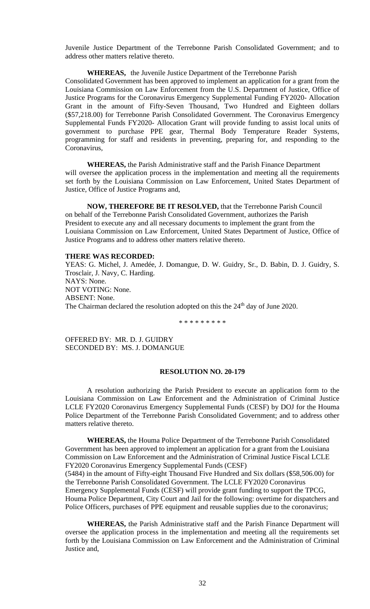Juvenile Justice Department of the Terrebonne Parish Consolidated Government; and to address other matters relative thereto.

## **WHEREAS,** the Juvenile Justice Department of the Terrebonne Parish

Consolidated Government has been approved to implement an application for a grant from the Louisiana Commission on Law Enforcement from the U.S. Department of Justice, Office of Justice Programs for the Coronavirus Emergency Supplemental Funding FY2020- Allocation Grant in the amount of Fifty-Seven Thousand, Two Hundred and Eighteen dollars (\$57,218.00) for Terrebonne Parish Consolidated Government. The Coronavirus Emergency Supplemental Funds FY2020- Allocation Grant will provide funding to assist local units of government to purchase PPE gear, Thermal Body Temperature Reader Systems, programming for staff and residents in preventing, preparing for, and responding to the Coronavirus,

**WHEREAS,** the Parish Administrative staff and the Parish Finance Department will oversee the application process in the implementation and meeting all the requirements set forth by the Louisiana Commission on Law Enforcement, United States Department of Justice, Office of Justice Programs and,

**NOW, THEREFORE BE IT RESOLVED,** that the Terrebonne Parish Council on behalf of the Terrebonne Parish Consolidated Government, authorizes the Parish President to execute any and all necessary documents to implement the grant from the Louisiana Commission on Law Enforcement, United States Department of Justice, Office of Justice Programs and to address other matters relative thereto.

#### **THERE WAS RECORDED:**

YEAS: G. Michel, J. Amedée, J. Domangue, D. W. Guidry, Sr., D. Babin, D. J. Guidry, S. Trosclair, J. Navy, C. Harding. NAYS: None. NOT VOTING: None. ABSENT: None. The Chairman declared the resolution adopted on this the 24<sup>th</sup> day of June 2020.

\* \* \* \* \* \* \* \* \*

OFFERED BY: MR. D. J. GUIDRY SECONDED BY: MS. J. DOMANGUE

#### **RESOLUTION NO. 20-179**

A resolution authorizing the Parish President to execute an application form to the Louisiana Commission on Law Enforcement and the Administration of Criminal Justice LCLE FY2020 Coronavirus Emergency Supplemental Funds (CESF) by DOJ for the Houma Police Department of the Terrebonne Parish Consolidated Government; and to address other matters relative thereto.

**WHEREAS,** the Houma Police Department of the Terrebonne Parish Consolidated Government has been approved to implement an application for a grant from the Louisiana Commission on Law Enforcement and the Administration of Criminal Justice Fiscal LCLE FY2020 Coronavirus Emergency Supplemental Funds (CESF)

(5484) in the amount of Fifty-eight Thousand Five Hundred and Six dollars (\$58,506.00) for the Terrebonne Parish Consolidated Government. The LCLE FY2020 Coronavirus Emergency Supplemental Funds (CESF) will provide grant funding to support the TPCG, Houma Police Department, City Court and Jail for the following: overtime for dispatchers and Police Officers, purchases of PPE equipment and reusable supplies due to the coronavirus;

**WHEREAS,** the Parish Administrative staff and the Parish Finance Department will oversee the application process in the implementation and meeting all the requirements set forth by the Louisiana Commission on Law Enforcement and the Administration of Criminal Justice and,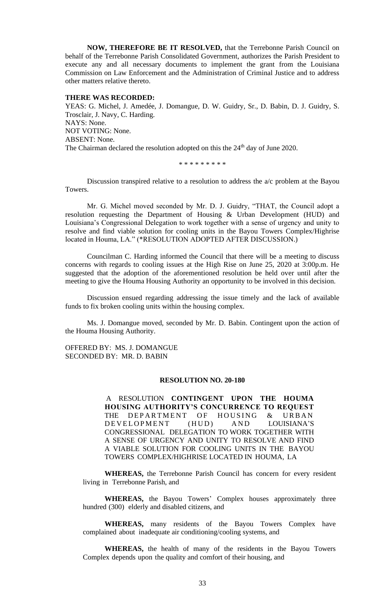**NOW, THEREFORE BE IT RESOLVED,** that the Terrebonne Parish Council on behalf of the Terrebonne Parish Consolidated Government, authorizes the Parish President to execute any and all necessary documents to implement the grant from the Louisiana Commission on Law Enforcement and the Administration of Criminal Justice and to address other matters relative thereto.

#### **THERE WAS RECORDED:**

YEAS: G. Michel, J. Amedée, J. Domangue, D. W. Guidry, Sr., D. Babin, D. J. Guidry, S. Trosclair, J. Navy, C. Harding. NAYS: None. NOT VOTING: None. ABSENT: None. The Chairman declared the resolution adopted on this the 24<sup>th</sup> day of June 2020.

\* \* \* \* \* \* \* \* \*

Discussion transpired relative to a resolution to address the a/c problem at the Bayou Towers.

Mr. G. Michel moved seconded by Mr. D. J. Guidry, "THAT, the Council adopt a resolution requesting the Department of Housing & Urban Development (HUD) and Louisiana's Congressional Delegation to work together with a sense of urgency and unity to resolve and find viable solution for cooling units in the Bayou Towers Complex/Highrise located in Houma, LA." (\*RESOLUTION ADOPTED AFTER DISCUSSION.)

Councilman C. Harding informed the Council that there will be a meeting to discuss concerns with regards to cooling issues at the High Rise on June 25, 2020 at 3:00p.m. He suggested that the adoption of the aforementioned resolution be held over until after the meeting to give the Houma Housing Authority an opportunity to be involved in this decision.

Discussion ensued regarding addressing the issue timely and the lack of available funds to fix broken cooling units within the housing complex.

Ms. J. Domangue moved, seconded by Mr. D. Babin. Contingent upon the action of the Houma Housing Authority.

OFFERED BY: MS. J. DOMANGUE SECONDED BY: MR. D. BABIN

#### **RESOLUTION NO. 20-180**

A RESOLUTION **CONTINGENT UPON THE HOUMA HOUSING AUTHORITY'S CONCURRENCE TO REQUEST** THE DEPARTMENT OF HOUSING & URBAN DEVELOPMENT (HUD) AND LOUISIANA'S CONGRESSIONAL DELEGATION TO WORK TOGETHER WITH A SENSE OF URGENCY AND UNITY TO RESOLVE AND FIND A VIABLE SOLUTION FOR COOLING UNITS IN THE BAYOU TOWERS COMPLEX/HIGHRISE LOCATED IN HOUMA, LA

**WHEREAS,** the Terrebonne Parish Council has concern for every resident living in Terrebonne Parish, and

**WHEREAS,** the Bayou Towers' Complex houses approximately three hundred (300) elderly and disabled citizens, and

**WHEREAS,** many residents of the Bayou Towers Complex have complained about inadequate air conditioning/cooling systems, and

**WHEREAS,** the health of many of the residents in the Bayou Towers Complex depends upon the quality and comfort of their housing, and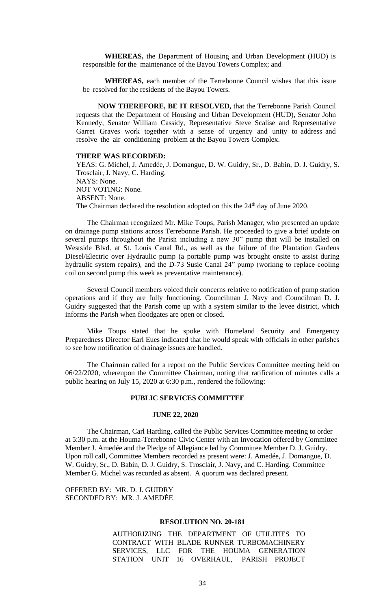**WHEREAS,** the Department of Housing and Urban Development (HUD) is responsible for the maintenance of the Bayou Towers Complex; and

**WHEREAS,** each member of the Terrebonne Council wishes that this issue be resolved for the residents of the Bayou Towers.

**NOW THEREFORE, BE IT RESOLVED,** that the Terrebonne Parish Council requests that the Department of Housing and Urban Development (HUD), Senator John Kennedy, Senator William Cassidy, Representative Steve Scalise and Representative Garret Graves work together with a sense of urgency and unity to address and resolve the air conditioning problem at the Bayou Towers Complex.

#### **THERE WAS RECORDED:**

YEAS: G. Michel, J. Amedée, J. Domangue, D. W. Guidry, Sr., D. Babin, D. J. Guidry, S. Trosclair, J. Navy, C. Harding. NAYS: None. NOT VOTING: None. ABSENT: None. The Chairman declared the resolution adopted on this the 24<sup>th</sup> day of June 2020.

The Chairman recognized Mr. Mike Toups, Parish Manager, who presented an update on drainage pump stations across Terrebonne Parish. He proceeded to give a brief update on several pumps throughout the Parish including a new 30" pump that will be installed on Westside Blvd. at St. Louis Canal Rd., as well as the failure of the Plantation Gardens Diesel/Electric over Hydraulic pump (a portable pump was brought onsite to assist during hydraulic system repairs), and the D-73 Susie Canal 24" pump (working to replace cooling coil on second pump this week as preventative maintenance).

Several Council members voiced their concerns relative to notification of pump station operations and if they are fully functioning. Councilman J. Navy and Councilman D. J. Guidry suggested that the Parish come up with a system similar to the levee district, which informs the Parish when floodgates are open or closed.

Mike Toups stated that he spoke with Homeland Security and Emergency Preparedness Director Earl Eues indicated that he would speak with officials in other parishes to see how notification of drainage issues are handled.

The Chairman called for a report on the Public Services Committee meeting held on 06/22/2020, whereupon the Committee Chairman, noting that ratification of minutes calls a public hearing on July 15, 2020 at 6:30 p.m., rendered the following:

#### **PUBLIC SERVICES COMMITTEE**

#### **JUNE 22, 2020**

The Chairman, Carl Harding, called the Public Services Committee meeting to order at 5:30 p.m. at the Houma-Terrebonne Civic Center with an Invocation offered by Committee Member J. Amedée and the Pledge of Allegiance led by Committee Member D. J. Guidry. Upon roll call, Committee Members recorded as present were: J. Amedée, J. Domangue, D. W. Guidry, Sr., D. Babin, D. J. Guidry, S. Trosclair, J. Navy, and C. Harding. Committee Member G. Michel was recorded as absent. A quorum was declared present.

OFFERED BY: MR. D. J. GUIDRY SECONDED BY: MR. J. AMEDĖE

#### **RESOLUTION NO. 20-181**

AUTHORIZING THE DEPARTMENT OF UTILITIES TO CONTRACT WITH BLADE RUNNER TURBOMACHINERY SERVICES, LLC FOR THE HOUMA GENERATION STATION UNIT 16 OVERHAUL, PARISH PROJECT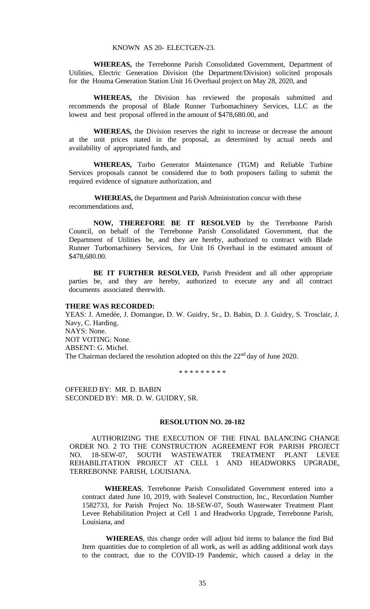**WHEREAS,** the Terrebonne Parish Consolidated Government, Department of Utilities, Electric Generation Division (the Department/Division) solicited proposals for the Houma Generation Station Unit 16 Overhaul project on May 28, 2020, and

**WHEREAS,** the Division has reviewed the proposals submitted and recommends the proposal of Blade Runner Turbomachinery Services, LLC as the lowest and best proposal offered in the amount of \$478,680.00, and

**WHEREAS,** the Division reserves the right to increase or decrease the amount at the unit prices stated in the proposal, as determined by actual needs and availability of appropriated funds, and

**WHEREAS,** Turbo Generator Maintenance (TGM) and Reliable Turbine Services proposals cannot be considered due to both proposers failing to submit the required evidence of signature authorization, and

**WHEREAS,** the Department and Parish Administration concur with these recommendations and,

**NOW, THEREFORE BE IT RESOLVED** by the Terrebonne Parish Council, on behalf of the Terrebonne Parish Consolidated Government, that the Department of Utilities be, and they are hereby, authorized to contract with Blade Runner Turbomachinery Services, for Unit 16 Overhaul in the estimated amount of \$478,680.00.

**BE IT FURTHER RESOLVED,** Parish President and all other appropriate parties be, and they are hereby, authorized to execute any and all contract documents associated therewith.

#### **THERE WAS RECORDED:**

YEAS: J. Amedée, J. Domangue, D. W. Guidry, Sr., D. Babin, D. J. Guidry, S. Trosclair, J. Navy, C. Harding. NAYS: None. NOT VOTING: None. ABSENT: G. Michel. The Chairman declared the resolution adopted on this the  $22<sup>nd</sup>$  day of June 2020.

\* \* \* \* \* \* \* \* \*

OFFERED BY: MR. D. BABIN SECONDED BY: MR. D. W. GUIDRY, SR.

#### **RESOLUTION NO. 20-182**

AUTHORIZING THE EXECUTION OF THE FINAL BALANCING CHANGE ORDER NO. 2 TO THE CONSTRUCTION AGREEMENT FOR PARISH PROJECT NO. 18-SEW-07, SOUTH WASTEWATER TREATMENT PLANT LEVEE REHABILITATION PROJECT AT CELL 1 AND HEADWORKS UPGRADE, TERREBONNE PARISH, LOUISIANA.

**WHEREAS**, Terrebonne Parish Consolidated Government entered into a contract dated June 10, 2019, with Sealevel Construction, Inc., Recordation Number 1582733, for Parish Project No. 18-SEW-07, South Wastewater Treatment Plant Levee Rehabilitation Project at Cell 1 and Headworks Upgrade, Terrebonne Parish, Louisiana, and

**WHEREAS**, this change order will adjust bid items to balance the find Bid Item quantities due to completion of all work, as well as adding additional work days to the contract, due to the COVID-19 Pandemic, which caused a delay in the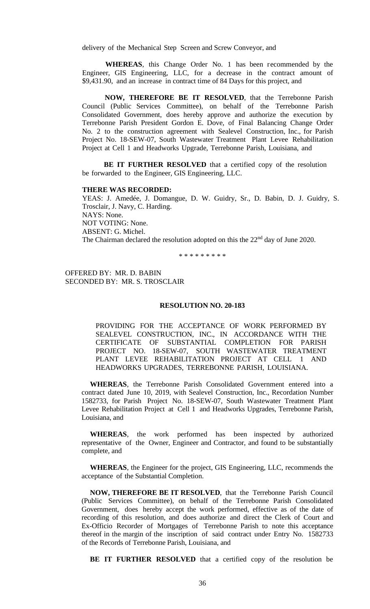delivery of the Mechanical Step Screen and Screw Conveyor, and

**WHEREAS**, this Change Order No. 1 has been recommended by the Engineer, GIS Engineering, LLC, for a decrease in the contract amount of \$9,431.90, and an increase in contract time of 84 Days for this project, and

**NOW, THEREFORE BE IT RESOLVED**, that the Terrebonne Parish Council (Public Services Committee), on behalf of the Terrebonne Parish Consolidated Government, does hereby approve and authorize the execution by Terrebonne Parish President Gordon E. Dove, of Final Balancing Change Order No. 2 to the construction agreement with Sealevel Construction, Inc., for Parish Project No. 18-SEW-07, South Wastewater Treatment Plant Levee Rehabilitation Project at Cell 1 and Headworks Upgrade, Terrebonne Parish, Louisiana, and

**BE IT FURTHER RESOLVED** that a certified copy of the resolution be forwarded to the Engineer, GIS Engineering, LLC.

#### **THERE WAS RECORDED:**

YEAS: J. Amedée, J. Domangue, D. W. Guidry, Sr., D. Babin, D. J. Guidry, S. Trosclair, J. Navy, C. Harding. NAYS: None. NOT VOTING: None. ABSENT: G. Michel. The Chairman declared the resolution adopted on this the 22<sup>nd</sup> day of June 2020.

\* \* \* \* \* \* \* \* \*

OFFERED BY: MR. D. BABIN SECONDED BY: MR. S. TROSCLAIR

#### **RESOLUTION NO. 20-183**

PROVIDING FOR THE ACCEPTANCE OF WORK PERFORMED BY SEALEVEL CONSTRUCTION, INC., IN ACCORDANCE WITH THE CERTIFICATE OF SUBSTANTIAL COMPLETION FOR PARISH PROJECT NO. 18-SEW-07, SOUTH WASTEWATER TREATMENT PLANT LEVEE REHABILITATION PROJECT AT CELL 1 AND HEADWORKS UPGRADES, TERREBONNE PARISH, LOUISIANA.

**WHEREAS**, the Terrebonne Parish Consolidated Government entered into a contract dated June 10, 2019, with Sealevel Construction, Inc., Recordation Number 1582733, for Parish Project No. 18-SEW-07, South Wastewater Treatment Plant Levee Rehabilitation Project at Cell 1 and Headworks Upgrades, Terrebonne Parish, Louisiana, and

**WHEREAS**, the work performed has been inspected by authorized representative of the Owner, Engineer and Contractor, and found to be substantially complete, and

**WHEREAS**, the Engineer for the project, GIS Engineering, LLC, recommends the acceptance of the Substantial Completion.

**NOW, THEREFORE BE IT RESOLVED**, that the Terrebonne Parish Council (Public Services Committee), on behalf of the Terrebonne Parish Consolidated Government, does hereby accept the work performed, effective as of the date of recording of this resolution, and does authorize and direct the Clerk of Court and Ex-Officio Recorder of Mortgages of Terrebonne Parish to note this acceptance thereof in the margin of the inscription of said contract under Entry No. 1582733 of the Records of Terrebonne Parish, Louisiana, and

**BE IT FURTHER RESOLVED** that a certified copy of the resolution be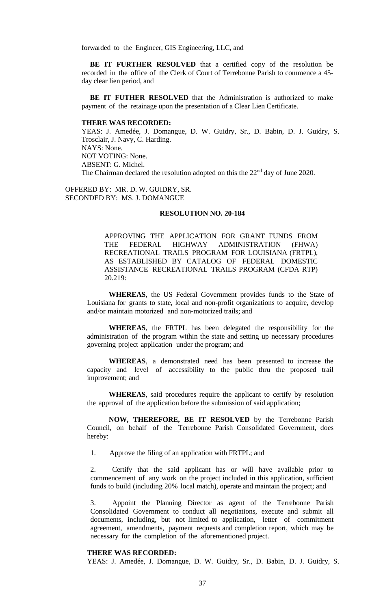forwarded to the Engineer, GIS Engineering, LLC, and

**BE IT FURTHER RESOLVED** that a certified copy of the resolution be recorded in the office of the Clerk of Court of Terrebonne Parish to commence a 45 day clear lien period, and

**BE IT FUTHER RESOLVED** that the Administration is authorized to make payment of the retainage upon the presentation of a Clear Lien Certificate.

#### **THERE WAS RECORDED:**

YEAS: J. Amedée, J. Domangue, D. W. Guidry, Sr., D. Babin, D. J. Guidry, S. Trosclair, J. Navy, C. Harding. NAYS: None. NOT VOTING: None. ABSENT: G. Michel. The Chairman declared the resolution adopted on this the 22<sup>nd</sup> day of June 2020.

OFFERED BY: MR. D. W. GUIDRY, SR. SECONDED BY: MS. J. DOMANGUE

## **RESOLUTION NO. 20-184**

APPROVING THE APPLICATION FOR GRANT FUNDS FROM THE FEDERAL HIGHWAY ADMINISTRATION (FHWA) RECREATIONAL TRAILS PROGRAM FOR LOUISIANA (FRTPL), AS ESTABLISHED BY CATALOG OF FEDERAL DOMESTIC ASSISTANCE RECREATIONAL TRAILS PROGRAM (CFDA RTP) 20.219:

**WHEREAS**, the US Federal Government provides funds to the State of Louisiana for grants to state, local and non-profit organizations to acquire, develop and/or maintain motorized and non-motorized trails; and

**WHEREAS**, the FRTPL has been delegated the responsibility for the administration of the program within the state and setting up necessary procedures governing project application under the program; and

**WHEREAS**, a demonstrated need has been presented to increase the capacity and level of accessibility to the public thru the proposed trail improvement; and

**WHEREAS**, said procedures require the applicant to certify by resolution the approval of the application before the submission of said application;

**NOW, THEREFORE, BE IT RESOLVED** by the Terrebonne Parish Council, on behalf of the Terrebonne Parish Consolidated Government, does hereby:

1. Approve the filing of an application with FRTPL; and

2. Certify that the said applicant has or will have available prior to commencement of any work on the project included in this application, sufficient funds to build (including 20% local match), operate and maintain the project; and

3. Appoint the Planning Director as agent of the Terrebonne Parish Consolidated Government to conduct all negotiations, execute and submit all documents, including, but not limited to application, letter of commitment agreement, amendments, payment requests and completion report, which may be necessary for the completion of the aforementioned project.

#### **THERE WAS RECORDED:**

YEAS: J. Amedée, J. Domangue, D. W. Guidry, Sr., D. Babin, D. J. Guidry, S.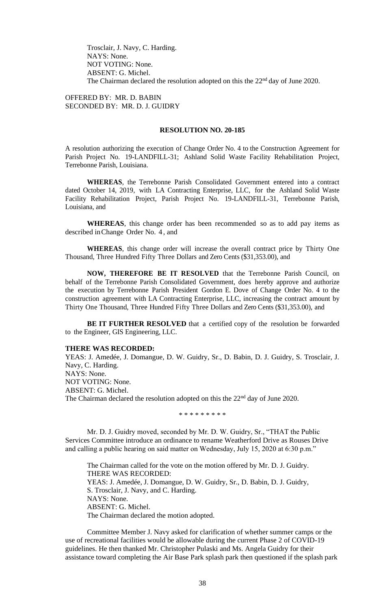Trosclair, J. Navy, C. Harding. NAYS: None. NOT VOTING: None. ABSENT: G. Michel. The Chairman declared the resolution adopted on this the  $22<sup>nd</sup>$  day of June 2020.

OFFERED BY: MR. D. BABIN SECONDED BY: MR. D. J. GUIDRY

#### **RESOLUTION NO. 20-185**

A resolution authorizing the execution of Change Order No. 4 to the Construction Agreement for Parish Project No. 19-LANDFILL-31; Ashland Solid Waste Facility Rehabilitation Project, Terrebonne Parish, Louisiana.

**WHEREAS**, the Terrebonne Parish Consolidated Government entered into a contract dated October 14, 2019, with LA Contracting Enterprise, LLC, for the Ashland Solid Waste Facility Rehabilitation Project, Parish Project No. 19-LANDFILL-31, Terrebonne Parish, Louisiana, and

**WHEREAS**, this change order has been recommended so as to add pay items as described inChange Order No. 4 , and

**WHEREAS**, this change order will increase the overall contract price by Thirty One Thousand, Three Hundred Fifty Three Dollars and Zero Cents (\$31,353.00), and

**NOW, THEREFORE BE IT RESOLVED** that the Terrebonne Parish Council, on behalf of the Terrebonne Parish Consolidated Government, does hereby approve and authorize the execution by Terrebonne Parish President Gordon E. Dove of Change Order No. 4 to the construction agreement with LA Contracting Enterprise, LLC, increasing the contract amount by Thirty One Thousand, Three Hundred Fifty Three Dollars and Zero Cents (\$31,353.00), and

BE IT FURTHER RESOLVED that a certified copy of the resolution be forwarded to the Engineer, GIS Engineering, LLC.

#### **THERE WAS RECORDED:**

YEAS: J. Amedée, J. Domangue, D. W. Guidry, Sr., D. Babin, D. J. Guidry, S. Trosclair, J. Navy, C. Harding. NAYS: None. NOT VOTING: None. ABSENT: G. Michel. The Chairman declared the resolution adopted on this the 22<sup>nd</sup> day of June 2020.

\* \* \* \* \* \* \* \* \*

Mr. D. J. Guidry moved, seconded by Mr. D. W. Guidry, Sr., "THAT the Public Services Committee introduce an ordinance to rename Weatherford Drive as Rouses Drive and calling a public hearing on said matter on Wednesday, July 15, 2020 at 6:30 p.m."

The Chairman called for the vote on the motion offered by Mr. D. J. Guidry. THERE WAS RECORDED: YEAS: J. Amedée, J. Domangue, D. W. Guidry, Sr., D. Babin, D. J. Guidry, S. Trosclair, J. Navy, and C. Harding. NAYS: None. ABSENT: G. Michel. The Chairman declared the motion adopted.

Committee Member J. Navy asked for clarification of whether summer camps or the use of recreational facilities would be allowable during the current Phase 2 of COVID-19 guidelines. He then thanked Mr. Christopher Pulaski and Ms. Angela Guidry for their assistance toward completing the Air Base Park splash park then questioned if the splash park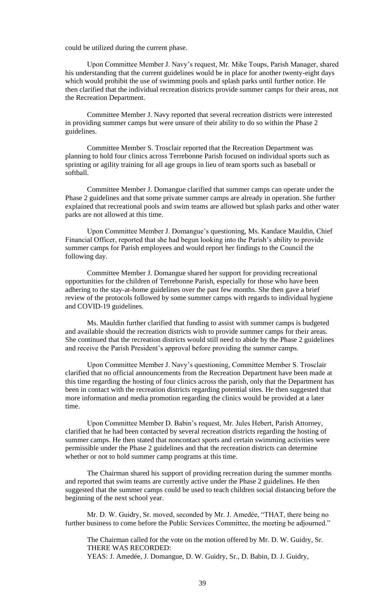could be utilized during the current phase.

Upon Committee Member J. Navy's request, Mr. Mike Toups, Parish Manager, shared his understanding that the current guidelines would be in place for another twenty-eight days which would prohibit the use of swimming pools and splash parks until further notice. He then clarified that the individual recreation districts provide summer camps for their areas, not the Recreation Department.

Committee Member J. Navy reported that several recreation districts were interested in providing summer camps but were unsure of their ability to do so within the Phase 2 guidelines.

Committee Member S. Trosclair reported that the Recreation Department was planning to hold four clinics across Terrebonne Parish focused on individual sports such as sprinting or agility training for all age groups in lieu of team sports such as baseball or softball.

Committee Member J. Domangue clarified that summer camps can operate under the Phase 2 guidelines and that some private summer camps are already in operation. She further explained that recreational pools and swim teams are allowed but splash parks and other water parks are not allowed at this time.

Upon Committee Member J. Domangue's questioning, Ms. Kandace Mauldin, Chief Financial Officer, reported that she had begun looking into the Parish's ability to provide summer camps for Parish employees and would report her findings to the Council the following day.

Committee Member J. Domangue shared her support for providing recreational opportunities for the children of Terrebonne Parish, especially for those who have been adhering to the stay-at-home guidelines over the past few months. She then gave a brief review of the protocols followed by some summer camps with regards to individual hygiene and COVID-19 guidelines.

Ms. Mauldin further clarified that funding to assist with summer camps is budgeted and available should the recreation districts wish to provide summer camps for their areas. She continued that the recreation districts would still need to abide by the Phase 2 guidelines and receive the Parish President's approval before providing the summer camps.

Upon Committee Member J. Navy's questioning, Committee Member S. Trosclair clarified that no official announcements from the Recreation Department have been made at this time regarding the hosting of four clinics across the parish, only that the Department has been in contact with the recreation districts regarding potential sites. He then suggested that more information and media promotion regarding the clinics would be provided at a later time.

Upon Committee Member D. Babin's request, Mr. Jules Hebert, Parish Attorney, clarified that he had been contacted by several recreation districts regarding the hosting of summer camps. He then stated that noncontact sports and certain swimming activities were permissible under the Phase 2 guidelines and that the recreation districts can determine whether or not to hold summer camp programs at this time.

The Chairman shared his support of providing recreation during the summer months and reported that swim teams are currently active under the Phase 2 guidelines. He then suggested that the summer camps could be used to teach children social distancing before the beginning of the next school year.

Mr. D. W. Guidry, Sr. moved, seconded by Mr. J. Amedée, "THAT, there being no further business to come before the Public Services Committee, the meeting be adjourned."

The Chairman called for the vote on the motion offered by Mr. D. W. Guidry, Sr. THERE WAS RECORDED: YEAS: J. Amedée, J. Domangue, D. W. Guidry, Sr., D. Babin, D. J. Guidry,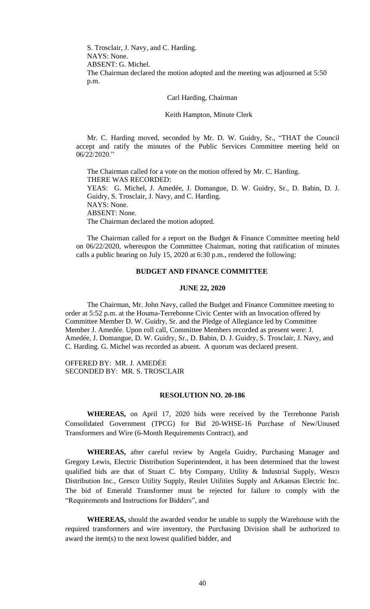S. Trosclair, J. Navy, and C. Harding. NAYS: None. ABSENT: G. Michel. The Chairman declared the motion adopted and the meeting was adjourned at 5:50 p.m.

Carl Harding, Chairman

Keith Hampton, Minute Clerk

Mr. C. Harding moved, seconded by Mr. D. W. Guidry, Sr., "THAT the Council accept and ratify the minutes of the Public Services Committee meeting held on 06/22/2020."

The Chairman called for a vote on the motion offered by Mr. C. Harding. THERE WAS RECORDED: YEAS: G. Michel, J. Amedée, J. Domangue, D. W. Guidry, Sr., D. Babin, D. J. Guidry, S. Trosclair, J. Navy, and C. Harding. NAYS: None. ABSENT: None. The Chairman declared the motion adopted.

The Chairman called for a report on the Budget & Finance Committee meeting held on 06/22/2020, whereupon the Committee Chairman, noting that ratification of minutes calls a public hearing on July 15, 2020 at 6:30 p.m., rendered the following:

#### **BUDGET AND FINANCE COMMITTEE**

#### **JUNE 22, 2020**

The Chairman, Mr. John Navy, called the Budget and Finance Committee meeting to order at 5:52 p.m. at the Houma-Terrebonne Civic Center with an Invocation offered by Committee Member D. W. Guidry, Sr. and the Pledge of Allegiance led by Committee Member J. Amedée. Upon roll call, Committee Members recorded as present were: J. Amedée, J. Domangue, D. W. Guidry, Sr., D. Babin, D. J. Guidry, S. Trosclair, J. Navy, and C. Harding. G. Michel was recorded as absent. A quorum was declared present.

OFFERED BY: MR. J. AMEDĖE SECONDED BY: MR. S. TROSCLAIR

#### **RESOLUTION NO. 20-186**

**WHEREAS,** on April 17, 2020 bids were received by the Terrebonne Parish Consolidated Government (TPCG) for Bid 20-WHSE-16 Purchase of New/Unused Transformers and Wire (6-Month Requirements Contract), and

**WHEREAS,** after careful review by Angela Guidry, Purchasing Manager and Gregory Lewis, Electric Distribution Superintendent, it has been determined that the lowest qualified bids are that of Stuart C. Irby Company, Utility & Industrial Supply, Wesco Distribution Inc., Gresco Utility Supply, Reulet Utilities Supply and Arkansas Electric Inc. The bid of Emerald Transformer must be rejected for failure to comply with the "Requirements and Instructions for Bidders", and

**WHEREAS,** should the awarded vendor be unable to supply the Warehouse with the required transformers and wire inventory, the Purchasing Division shall be authorized to award the item(s) to the next lowest qualified bidder, and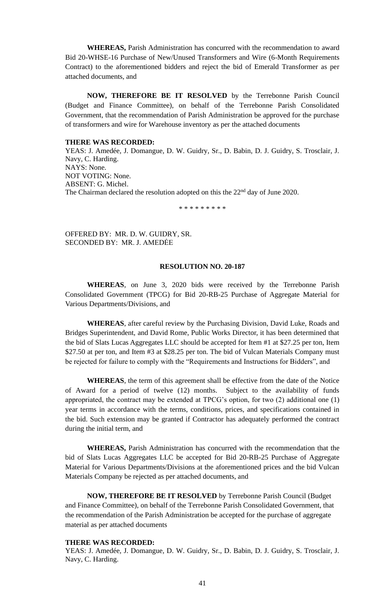**WHEREAS,** Parish Administration has concurred with the recommendation to award Bid 20-WHSE-16 Purchase of New/Unused Transformers and Wire (6-Month Requirements Contract) to the aforementioned bidders and reject the bid of Emerald Transformer as per attached documents, and

**NOW, THEREFORE BE IT RESOLVED** by the Terrebonne Parish Council (Budget and Finance Committee), on behalf of the Terrebonne Parish Consolidated Government, that the recommendation of Parish Administration be approved for the purchase of transformers and wire for Warehouse inventory as per the attached documents

#### **THERE WAS RECORDED:**

YEAS: J. Amedée, J. Domangue, D. W. Guidry, Sr., D. Babin, D. J. Guidry, S. Trosclair, J. Navy, C. Harding. NAYS: None. NOT VOTING: None. ABSENT: G. Michel. The Chairman declared the resolution adopted on this the 22<sup>nd</sup> day of June 2020.

\* \* \* \* \* \* \* \* \*

OFFERED BY: MR. D. W. GUIDRY, SR. SECONDED BY: MR. J. AMEDĖE

# **RESOLUTION NO. 20-187**

**WHEREAS**, on June 3, 2020 bids were received by the Terrebonne Parish Consolidated Government (TPCG) for Bid 20-RB-25 Purchase of Aggregate Material for Various Departments/Divisions, and

**WHEREAS**, after careful review by the Purchasing Division, David Luke, Roads and Bridges Superintendent, and David Rome, Public Works Director, it has been determined that the bid of Slats Lucas Aggregates LLC should be accepted for Item #1 at \$27.25 per ton, Item \$27.50 at per ton, and Item #3 at \$28.25 per ton. The bid of Vulcan Materials Company must be rejected for failure to comply with the "Requirements and Instructions for Bidders", and

**WHEREAS**, the term of this agreement shall be effective from the date of the Notice of Award for a period of twelve (12) months. Subject to the availability of funds appropriated, the contract may be extended at TPCG's option, for two (2) additional one (1) year terms in accordance with the terms, conditions, prices, and specifications contained in the bid. Such extension may be granted if Contractor has adequately performed the contract during the initial term, and

**WHEREAS,** Parish Administration has concurred with the recommendation that the bid of Slats Lucas Aggregates LLC be accepted for Bid 20-RB-25 Purchase of Aggregate Material for Various Departments/Divisions at the aforementioned prices and the bid Vulcan Materials Company be rejected as per attached documents, and

**NOW, THEREFORE BE IT RESOLVED** by Terrebonne Parish Council (Budget and Finance Committee), on behalf of the Terrebonne Parish Consolidated Government, that the recommendation of the Parish Administration be accepted for the purchase of aggregate material as per attached documents

# **THERE WAS RECORDED:**

YEAS: J. Amedée, J. Domangue, D. W. Guidry, Sr., D. Babin, D. J. Guidry, S. Trosclair, J. Navy, C. Harding.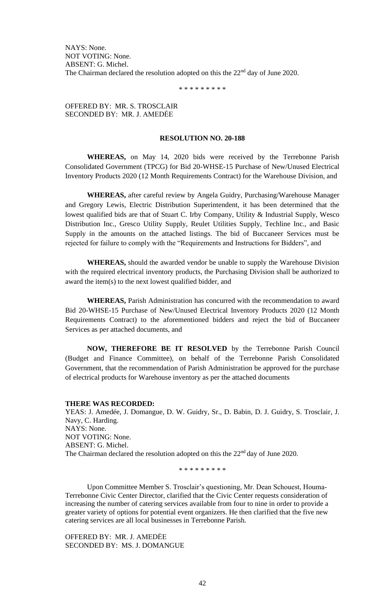NAYS: None. NOT VOTING: None. ABSENT: G. Michel. The Chairman declared the resolution adopted on this the  $22<sup>nd</sup>$  day of June 2020.

\* \* \* \* \* \* \* \* \*

# OFFERED BY: MR. S. TROSCLAIR SECONDED BY: MR. J. AMEDĖE

# **RESOLUTION NO. 20-188**

**WHEREAS,** on May 14, 2020 bids were received by the Terrebonne Parish Consolidated Government (TPCG) for Bid 20-WHSE-15 Purchase of New/Unused Electrical Inventory Products 2020 (12 Month Requirements Contract) for the Warehouse Division, and

**WHEREAS,** after careful review by Angela Guidry, Purchasing/Warehouse Manager and Gregory Lewis, Electric Distribution Superintendent, it has been determined that the lowest qualified bids are that of Stuart C. Irby Company, Utility & Industrial Supply, Wesco Distribution Inc., Gresco Utility Supply, Reulet Utilities Supply, Techline Inc., and Basic Supply in the amounts on the attached listings. The bid of Buccaneer Services must be rejected for failure to comply with the "Requirements and Instructions for Bidders", and

**WHEREAS,** should the awarded vendor be unable to supply the Warehouse Division with the required electrical inventory products, the Purchasing Division shall be authorized to award the item(s) to the next lowest qualified bidder, and

**WHEREAS,** Parish Administration has concurred with the recommendation to award Bid 20-WHSE-15 Purchase of New/Unused Electrical Inventory Products 2020 (12 Month Requirements Contract) to the aforementioned bidders and reject the bid of Buccaneer Services as per attached documents, and

**NOW, THEREFORE BE IT RESOLVED** by the Terrebonne Parish Council (Budget and Finance Committee), on behalf of the Terrebonne Parish Consolidated Government, that the recommendation of Parish Administration be approved for the purchase of electrical products for Warehouse inventory as per the attached documents

#### **THERE WAS RECORDED:**

YEAS: J. Amedée, J. Domangue, D. W. Guidry, Sr., D. Babin, D. J. Guidry, S. Trosclair, J. Navy, C. Harding. NAYS: None. NOT VOTING: None. ABSENT: G. Michel. The Chairman declared the resolution adopted on this the 22<sup>nd</sup> day of June 2020.

\* \* \* \* \* \* \* \* \*

Upon Committee Member S. Trosclair's questioning, Mr. Dean Schouest, Houma-Terrebonne Civic Center Director, clarified that the Civic Center requests consideration of increasing the number of catering services available from four to nine in order to provide a greater variety of options for potential event organizers. He then clarified that the five new catering services are all local businesses in Terrebonne Parish.

OFFERED BY: MR. J. AMEDĖE SECONDED BY: MS. J. DOMANGUE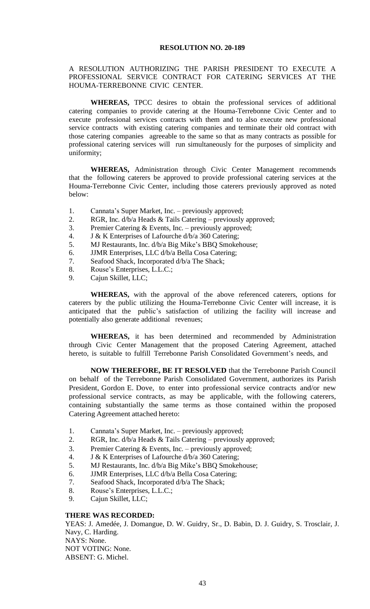# A RESOLUTION AUTHORIZING THE PARISH PRESIDENT TO EXECUTE A PROFESSIONAL SERVICE CONTRACT FOR CATERING SERVICES AT THE HOUMA-TERREBONNE CIVIC CENTER.

**WHEREAS,** TPCC desires to obtain the professional services of additional catering companies to provide catering at the Houma-Terrebonne Civic Center and to execute professional services contracts with them and to also execute new professional service contracts with existing catering companies and terminate their old contract with those catering companies agreeable to the same so that as many contracts as possible for professional catering services will run simultaneously for the purposes of simplicity and uniformity;

**WHEREAS,** Administration through Civic Center Management recommends that the following caterers be approved to provide professional catering services at the Houma-Terrebonne Civic Center, including those caterers previously approved as noted below:

- 1. Cannata's Super Market, Inc. previously approved;
- 2. RGR, Inc. d/b/a Heads & Tails Catering previously approved;
- 3. Premier Catering & Events, Inc. previously approved;
- 4. J & K Enterprises of Lafourche d/b/a 360 Catering;
- 5. MJ Restaurants, Inc. d/b/a Big Mike's BBQ Smokehouse;
- 6. JJMR Enterprises, LLC d/b/a Bella Cosa Catering;
- 7. Seafood Shack, Incorporated d/b/a The Shack;
- 8. Rouse's Enterprises, L.L.C.;
- 9. Cajun Skillet, LLC;

**WHEREAS,** with the approval of the above referenced caterers, options for caterers by the public utilizing the Houma-Terrebonne Civic Center will increase, it is anticipated that the public's satisfaction of utilizing the facility will increase and potentially also generate additional revenues;

**WHEREAS,** it has been determined and recommended by Administration through Civic Center Management that the proposed Catering Agreement, attached hereto, is suitable to fulfill Terrebonne Parish Consolidated Government's needs, and

**NOW THEREFORE, BE IT RESOLVED** that the Terrebonne Parish Council on behalf of the Terrebonne Parish Consolidated Government, authorizes its Parish President, Gordon E. Dove, to enter into professional service contracts and/or new professional service contracts, as may be applicable, with the following caterers, containing substantially the same terms as those contained within the proposed Catering Agreement attached hereto:

- 1. Cannata's Super Market, Inc. previously approved;
- 2. RGR, Inc. d/b/a Heads & Tails Catering previously approved;
- 3. Premier Catering & Events, Inc. previously approved;
- 4. J & K Enterprises of Lafourche d/b/a 360 Catering;
- 5. MJ Restaurants, Inc. d/b/a Big Mike's BBQ Smokehouse;
- 6. JJMR Enterprises, LLC d/b/a Bella Cosa Catering;
- 7. Seafood Shack, Incorporated d/b/a The Shack;
- 8. Rouse's Enterprises, L.L.C.;
- 9. Cajun Skillet, LLC;

#### **THERE WAS RECORDED:**

YEAS: J. Amedée, J. Domangue, D. W. Guidry, Sr., D. Babin, D. J. Guidry, S. Trosclair, J. Navy, C. Harding. NAYS: None. NOT VOTING: None. ABSENT: G. Michel.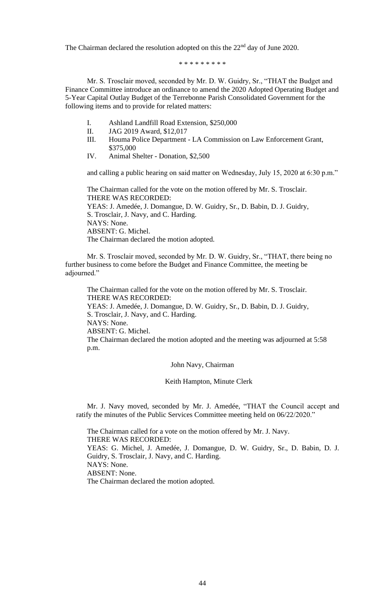The Chairman declared the resolution adopted on this the 22<sup>nd</sup> day of June 2020.

\* \* \* \* \* \* \* \* \*

Mr. S. Trosclair moved, seconded by Mr. D. W. Guidry, Sr., "THAT the Budget and Finance Committee introduce an ordinance to amend the 2020 Adopted Operating Budget and 5-Year Capital Outlay Budget of the Terrebonne Parish Consolidated Government for the following items and to provide for related matters:

- I. Ashland Landfill Road Extension, \$250,000
- II. JAG 2019 Award, \$12,017
- III. Houma Police Department LA Commission on Law Enforcement Grant, \$375,000
- IV. Animal Shelter Donation, \$2,500

and calling a public hearing on said matter on Wednesday, July 15, 2020 at 6:30 p.m."

The Chairman called for the vote on the motion offered by Mr. S. Trosclair. THERE WAS RECORDED: YEAS: J. Amedée, J. Domangue, D. W. Guidry, Sr., D. Babin, D. J. Guidry, S. Trosclair, J. Navy, and C. Harding. NAYS: None. ABSENT: G. Michel. The Chairman declared the motion adopted.

Mr. S. Trosclair moved, seconded by Mr. D. W. Guidry, Sr., "THAT, there being no further business to come before the Budget and Finance Committee, the meeting be adjourned."

The Chairman called for the vote on the motion offered by Mr. S. Trosclair. THERE WAS RECORDED: YEAS: J. Amedée, J. Domangue, D. W. Guidry, Sr., D. Babin, D. J. Guidry, S. Trosclair, J. Navy, and C. Harding. NAYS: None. ABSENT: G. Michel. The Chairman declared the motion adopted and the meeting was adjourned at 5:58 p.m.

John Navy, Chairman

Keith Hampton, Minute Clerk

Mr. J. Navy moved, seconded by Mr. J. Amedée, "THAT the Council accept and ratify the minutes of the Public Services Committee meeting held on 06/22/2020."

The Chairman called for a vote on the motion offered by Mr. J. Navy. THERE WAS RECORDED: YEAS: G. Michel, J. Amedée, J. Domangue, D. W. Guidry, Sr., D. Babin, D. J. Guidry, S. Trosclair, J. Navy, and C. Harding. NAYS: None. ABSENT: None. The Chairman declared the motion adopted.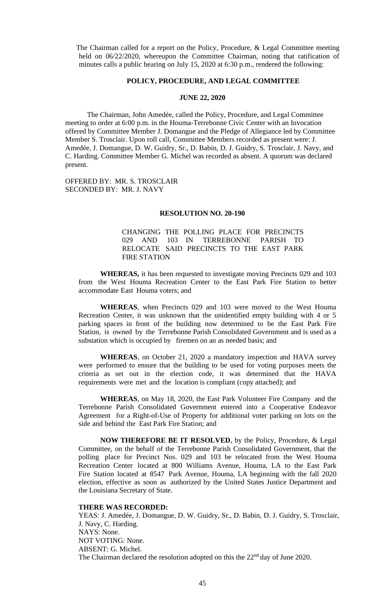The Chairman called for a report on the Policy, Procedure, & Legal Committee meeting held on 06/22/2020, whereupon the Committee Chairman, noting that ratification of minutes calls a public hearing on July 15, 2020 at 6:30 p.m., rendered the following:

#### **POLICY, PROCEDURE, AND LEGAL COMMITTEE**

# **JUNE 22, 2020**

The Chairman, John Amedée, called the Policy, Procedure, and Legal Committee meeting to order at 6:00 p.m. in the Houma-Terrebonne Civic Center with an Invocation offered by Committee Member J. Domangue and the Pledge of Allegiance led by Committee Member S. Trosclair. Upon roll call, Committee Members recorded as present were: J. Amedée, J. Domangue, D. W. Guidry, Sr., D. Babin, D. J. Guidry, S. Trosclair, J. Navy, and C. Harding. Committee Member G. Michel was recorded as absent. A quorum was declared present.

OFFERED BY: MR. S. TROSCLAIR SECONDED BY: MR. J. NAVY

#### **RESOLUTION NO. 20-190**

CHANGING THE POLLING PLACE FOR PRECINCTS 029 AND 103 IN TERREBONNE PARISH TO RELOCATE SAID PRECINCTS TO THE EAST PARK FIRE STATION

**WHEREAS,** it has been requested to investigate moving Precincts 029 and 103 from the West Houma Recreation Center to the East Park Fire Station to better accommodate East Houma voters; and

**WHEREAS**, when Precincts 029 and 103 were moved to the West Houma Recreation Center, it was unknown that the unidentified empty building with 4 or 5 parking spaces in front of the building now determined to be the East Park Fire Station, is owned by the Terrebonne Parish Consolidated Government and is used as a substation which is occupied by firemen on an as needed basis; and

**WHEREAS**, on October 21, 2020 a mandatory inspection and HAVA survey were performed to ensure that the building to be used for voting purposes meets the criteria as set out in the election code, it was determined that the HAVA requirements were met and the location is compliant (copy attached); and

**WHEREAS**, on May 18, 2020, the East Park Volunteer Fire Company and the Terrebonne Parish Consolidated Government entered into a Cooperative Endeavor Agreement for a Right-of-Use of Property for additional voter parking on lots on the side and behind the East Park Fire Station; and

**NOW THEREFORE BE IT RESOLVED**, by the Policy, Procedure, & Legal Committee, on the behalf of the Terrebonne Parish Consolidated Government, that the polling place for Precinct Nos. 029 and 103 be relocated from the West Houma Recreation Center located at 800 Williams Avenue, Houma, LA to the East Park Fire Station located at 8547 Park Avenue, Houma, LA beginning with the fall 2020 election, effective as soon as authorized by the United States Justice Department and the Louisiana Secretary of State.

#### **THERE WAS RECORDED:**

YEAS: J. Amedée, J. Domangue, D. W. Guidry, Sr., D. Babin, D. J. Guidry, S. Trosclair, J. Navy, C. Harding. NAYS: None. NOT VOTING: None. ABSENT: G. Michel. The Chairman declared the resolution adopted on this the 22<sup>nd</sup> day of June 2020.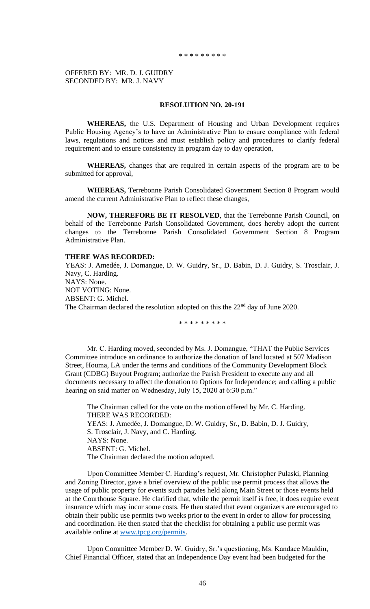OFFERED BY: MR. D. J. GUIDRY SECONDED BY: MR. J. NAVY

#### **RESOLUTION NO. 20-191**

**WHEREAS,** the U.S. Department of Housing and Urban Development requires Public Housing Agency's to have an Administrative Plan to ensure compliance with federal laws, regulations and notices and must establish policy and procedures to clarify federal requirement and to ensure consistency in program day to day operation,

**WHEREAS,** changes that are required in certain aspects of the program are to be submitted for approval,

**WHEREAS,** Terrebonne Parish Consolidated Government Section 8 Program would amend the current Administrative Plan to reflect these changes,

**NOW, THEREFORE BE IT RESOLVED**, that the Terrebonne Parish Council, on behalf of the Terrebonne Parish Consolidated Government, does hereby adopt the current changes to the Terrebonne Parish Consolidated Government Section 8 Program Administrative Plan.

#### **THERE WAS RECORDED:**

YEAS: J. Amedée, J. Domangue, D. W. Guidry, Sr., D. Babin, D. J. Guidry, S. Trosclair, J. Navy, C. Harding. NAYS: None. NOT VOTING: None. ABSENT: G. Michel. The Chairman declared the resolution adopted on this the  $22<sup>nd</sup>$  day of June 2020.

\* \* \* \* \* \* \* \* \*

Mr. C. Harding moved, seconded by Ms. J. Domangue, "THAT the Public Services Committee introduce an ordinance to authorize the donation of land located at 507 Madison Street, Houma, LA under the terms and conditions of the Community Development Block Grant (CDBG) Buyout Program; authorize the Parish President to execute any and all documents necessary to affect the donation to Options for Independence; and calling a public hearing on said matter on Wednesday, July 15, 2020 at 6:30 p.m."

The Chairman called for the vote on the motion offered by Mr. C. Harding. THERE WAS RECORDED: YEAS: J. Amedée, J. Domangue, D. W. Guidry, Sr., D. Babin, D. J. Guidry, S. Trosclair, J. Navy, and C. Harding. NAYS: None. ABSENT: G. Michel. The Chairman declared the motion adopted.

Upon Committee Member C. Harding's request, Mr. Christopher Pulaski, Planning and Zoning Director, gave a brief overview of the public use permit process that allows the usage of public property for events such parades held along Main Street or those events held at the Courthouse Square. He clarified that, while the permit itself is free, it does require event insurance which may incur some costs. He then stated that event organizers are encouraged to obtain their public use permits two weeks prior to the event in order to allow for processing and coordination. He then stated that the checklist for obtaining a public use permit was available online at [www.tpcg.org/permits.](http://www.tpcg.org/permits)

Upon Committee Member D. W. Guidry, Sr.'s questioning, Ms. Kandace Mauldin, Chief Financial Officer, stated that an Independence Day event had been budgeted for the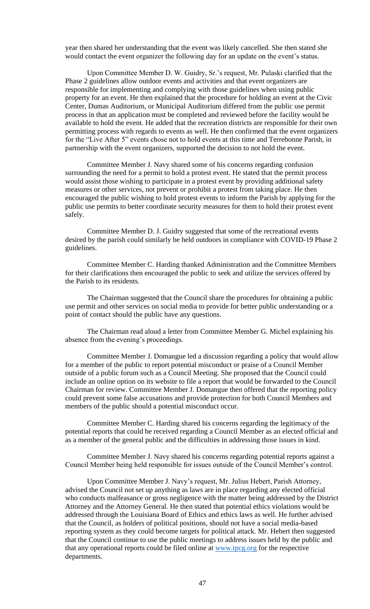year then shared her understanding that the event was likely cancelled. She then stated she would contact the event organizer the following day for an update on the event's status.

Upon Committee Member D. W. Guidry, Sr.'s request, Mr. Pulaski clarified that the Phase 2 guidelines allow outdoor events and activities and that event organizers are responsible for implementing and complying with those guidelines when using public property for an event. He then explained that the procedure for holding an event at the Civic Center, Dumas Auditorium, or Municipal Auditorium differed from the public use permit process in that an application must be completed and reviewed before the facility would be available to hold the event. He added that the recreation districts are responsible for their own permitting process with regards to events as well. He then confirmed that the event organizers for the "Live After 5" events chose not to hold events at this time and Terrebonne Parish, in partnership with the event organizers, supported the decision to not hold the event.

Committee Member J. Navy shared some of his concerns regarding confusion surrounding the need for a permit to hold a protest event. He stated that the permit process would assist those wishing to participate in a protest event by providing additional safety measures or other services, not prevent or prohibit a protest from taking place. He then encouraged the public wishing to hold protest events to inform the Parish by applying for the public use permits to better coordinate security measures for them to hold their protest event safely.

Committee Member D. J. Guidry suggested that some of the recreational events desired by the parish could similarly be held outdoors in compliance with COVID-19 Phase 2 guidelines.

Committee Member C. Harding thanked Administration and the Committee Members for their clarifications then encouraged the public to seek and utilize the services offered by the Parish to its residents.

The Chairman suggested that the Council share the procedures for obtaining a public use permit and other services on social media to provide for better public understanding or a point of contact should the public have any questions.

The Chairman read aloud a letter from Committee Member G. Michel explaining his absence from the evening's proceedings.

Committee Member J. Domangue led a discussion regarding a policy that would allow for a member of the public to report potential misconduct or praise of a Council Member outside of a public forum such as a Council Meeting. She proposed that the Council could include an online option on its website to file a report that would be forwarded to the Council Chairman for review. Committee Member J. Domangue then offered that the reporting policy could prevent some false accusations and provide protection for both Council Members and members of the public should a potential misconduct occur.

Committee Member C. Harding shared his concerns regarding the legitimacy of the potential reports that could be received regarding a Council Member as an elected official and as a member of the general public and the difficulties in addressing those issues in kind.

Committee Member J. Navy shared his concerns regarding potential reports against a Council Member being held responsible for issues outside of the Council Member's control.

Upon Committee Member J. Navy's request, Mr. Julius Hebert, Parish Attorney, advised the Council not set up anything as laws are in place regarding any elected official who conducts malfeasance or gross negligence with the matter being addressed by the District Attorney and the Attorney General. He then stated that potential ethics violations would be addressed through the Louisiana Board of Ethics and ethics laws as well. He further advised that the Council, as holders of political positions, should not have a social media-based reporting system as they could become targets for political attack. Mr. Hebert then suggested that the Council continue to use the public meetings to address issues held by the public and that any operational reports could be filed online at [www.tpcg.org](http://www.tpcg.org/) for the respective departments.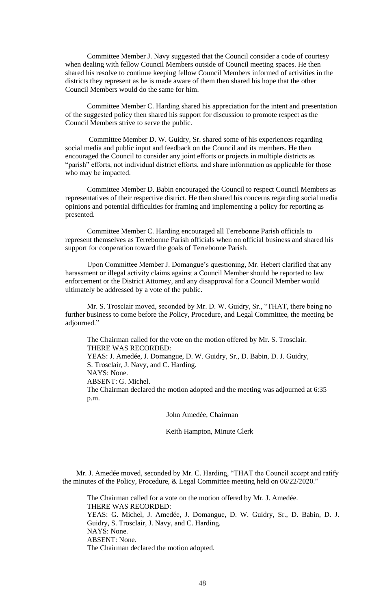Committee Member J. Navy suggested that the Council consider a code of courtesy when dealing with fellow Council Members outside of Council meeting spaces. He then shared his resolve to continue keeping fellow Council Members informed of activities in the districts they represent as he is made aware of them then shared his hope that the other Council Members would do the same for him.

Committee Member C. Harding shared his appreciation for the intent and presentation of the suggested policy then shared his support for discussion to promote respect as the Council Members strive to serve the public.

Committee Member D. W. Guidry, Sr. shared some of his experiences regarding social media and public input and feedback on the Council and its members. He then encouraged the Council to consider any joint efforts or projects in multiple districts as "parish" efforts, not individual district efforts, and share information as applicable for those who may be impacted.

Committee Member D. Babin encouraged the Council to respect Council Members as representatives of their respective district. He then shared his concerns regarding social media opinions and potential difficulties for framing and implementing a policy for reporting as presented.

Committee Member C. Harding encouraged all Terrebonne Parish officials to represent themselves as Terrebonne Parish officials when on official business and shared his support for cooperation toward the goals of Terrebonne Parish.

Upon Committee Member J. Domangue's questioning, Mr. Hebert clarified that any harassment or illegal activity claims against a Council Member should be reported to law enforcement or the District Attorney, and any disapproval for a Council Member would ultimately be addressed by a vote of the public.

Mr. S. Trosclair moved, seconded by Mr. D. W. Guidry, Sr., "THAT, there being no further business to come before the Policy, Procedure, and Legal Committee, the meeting be adjourned."

The Chairman called for the vote on the motion offered by Mr. S. Trosclair. THERE WAS RECORDED: YEAS: J. Amedée, J. Domangue, D. W. Guidry, Sr., D. Babin, D. J. Guidry, S. Trosclair, J. Navy, and C. Harding. NAYS: None. ABSENT: G. Michel. The Chairman declared the motion adopted and the meeting was adjourned at 6:35 p.m.

John Amedée, Chairman

Keith Hampton, Minute Clerk

Mr. J. Amedée moved, seconded by Mr. C. Harding, "THAT the Council accept and ratify the minutes of the Policy, Procedure, & Legal Committee meeting held on 06/22/2020."

The Chairman called for a vote on the motion offered by Mr. J. Amedée. THERE WAS RECORDED: YEAS: G. Michel, J. Amedée, J. Domangue, D. W. Guidry, Sr., D. Babin, D. J. Guidry, S. Trosclair, J. Navy, and C. Harding. NAYS: None. ABSENT: None. The Chairman declared the motion adopted.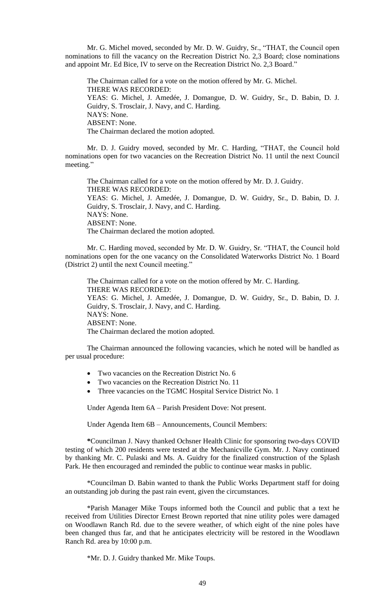Mr. G. Michel moved, seconded by Mr. D. W. Guidry, Sr., "THAT, the Council open nominations to fill the vacancy on the Recreation District No. 2,3 Board; close nominations and appoint Mr. Ed Bice, IV to serve on the Recreation District No. 2,3 Board."

The Chairman called for a vote on the motion offered by Mr. G. Michel. THERE WAS RECORDED: YEAS: G. Michel, J. Amedée, J. Domangue, D. W. Guidry, Sr., D. Babin, D. J. Guidry, S. Trosclair, J. Navy, and C. Harding. NAYS: None. ABSENT: None. The Chairman declared the motion adopted.

Mr. D. J. Guidry moved, seconded by Mr. C. Harding, "THAT, the Council hold nominations open for two vacancies on the Recreation District No. 11 until the next Council meeting."

The Chairman called for a vote on the motion offered by Mr. D. J. Guidry. THERE WAS RECORDED: YEAS: G. Michel, J. Amedée, J. Domangue, D. W. Guidry, Sr., D. Babin, D. J. Guidry, S. Trosclair, J. Navy, and C. Harding. NAYS: None. ABSENT: None. The Chairman declared the motion adopted.

Mr. C. Harding moved, seconded by Mr. D. W. Guidry, Sr. "THAT, the Council hold nominations open for the one vacancy on the Consolidated Waterworks District No. 1 Board (District 2) until the next Council meeting."

The Chairman called for a vote on the motion offered by Mr. C. Harding. THERE WAS RECORDED: YEAS: G. Michel, J. Amedée, J. Domangue, D. W. Guidry, Sr., D. Babin, D. J. Guidry, S. Trosclair, J. Navy, and C. Harding. NAYS: None. ABSENT: None. The Chairman declared the motion adopted.

The Chairman announced the following vacancies, which he noted will be handled as per usual procedure:

- Two vacancies on the Recreation District No. 6
- Two vacancies on the Recreation District No. 11
- Three vacancies on the TGMC Hospital Service District No. 1

Under Agenda Item 6A – Parish President Dove: Not present.

Under Agenda Item 6B – Announcements, Council Members:

**\***Councilman J. Navy thanked Ochsner Health Clinic for sponsoring two-days COVID testing of which 200 residents were tested at the Mechanicville Gym. Mr. J. Navy continued by thanking Mr. C. Pulaski and Ms. A. Guidry for the finalized construction of the Splash Park. He then encouraged and reminded the public to continue wear masks in public.

\*Councilman D. Babin wanted to thank the Public Works Department staff for doing an outstanding job during the past rain event, given the circumstances.

\*Parish Manager Mike Toups informed both the Council and public that a text he received from Utilities Director Ernest Brown reported that nine utility poles were damaged on Woodlawn Ranch Rd. due to the severe weather, of which eight of the nine poles have been changed thus far, and that he anticipates electricity will be restored in the Woodlawn Ranch Rd. area by 10:00 p.m.

\*Mr. D. J. Guidry thanked Mr. Mike Toups.